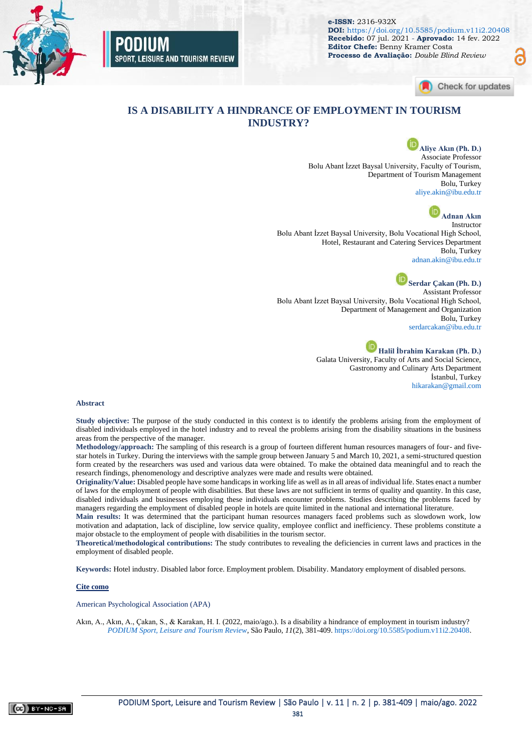

SPORT, LEISURE AND TOURISM REVIEW

**e-ISSN:** 2316-932X **DOI:** <https://doi.org/10.5585/podium.v11i2.20408> **Recebido:** 07 jul. 2021 - **Aprovado:** 14 fev. 2022 **Editor Chefe:** Benny Kramer Costa **Processo de Avaliação:** *Double Blind Review*



പ്ല

### **IS A DISABILITY A HINDRANCE OF EMPLOYMENT IN TOURISM INDUSTRY?**

**Aliye Akın (Ph. D.)** Associate Professor Bolu Abant İzzet Baysal University, Faculty of Tourism, Department of Tourism Management Bolu, Turkey [aliye.akin@ibu.edu.tr](mailto:aliye.akin@ibu.edu.tr)



Bolu Abant İzzet Baysal University, Bolu Vocational High School, Hotel, Restaurant and Catering Services Department Bolu, Turkey [adnan.akin@ibu.edu.tr](mailto:adnan.akin@ibu.edu.tr)

**Serdar Çakan (Ph. D.)** Assistant Professor Bolu Abant İzzet Baysal University, Bolu Vocational High School, Department of Management and Organization Bolu, Turkey [serdarcakan@ibu.edu.tr](mailto:serdarcakan@ibu.edu.tr)

> **Halil İbrahim Karakan (Ph. D.)** Galata University, Faculty of Arts and Social Science, Gastronomy and Culinary Arts Department İstanbul, Turkey [hikarakan@gmail.com](mailto:hikarakan@gmail.com)

#### **Abstract**

**Study objective:** The purpose of the study conducted in this context is to identify the problems arising from the employment of disabled individuals employed in the hotel industry and to reveal the problems arising from the disability situations in the business areas from the perspective of the manager.

**Methodology/approach:** The sampling of this research is a group of fourteen different human resources managers of four- and fivestar hotels in Turkey. During the interviews with the sample group between January 5 and March 10, 2021, a semi-structured question form created by the researchers was used and various data were obtained. To make the obtained data meaningful and to reach the research findings, phenomenology and descriptive analyzes were made and results were obtained.

**Originality/Value:** Disabled people have some handicaps in working life as well as in all areas of individual life. States enact a number of laws for the employment of people with disabilities. But these laws are not sufficient in terms of quality and quantity. In this case, disabled individuals and businesses employing these individuals encounter problems. Studies describing the problems faced by managers regarding the employment of disabled people in hotels are quite limited in the national and international literature.

**Main results:** It was determined that the participant human resources managers faced problems such as slowdown work, low motivation and adaptation, lack of discipline, low service quality, employee conflict and inefficiency. These problems constitute a major obstacle to the employment of people with disabilities in the tourism sector.

**Theoretical/methodological contributions:** The study contributes to revealing the deficiencies in current laws and practices in the employment of disabled people.

**Keywords:** Hotel industry. Disabled labor force. Employment problem. Disability. Mandatory employment of disabled persons.

#### **Cite como**

American Psychological Association (APA)

Akın, A., Akın, A., Çakan, S., & Karakan, H. I. (2022, maio/ago.). Is a disability a hindrance of employment in tourism industry? *[PODIUM Sport, Leisure and Tourism Review](https://periodicos.uninove.br/index.php?journal=podium&page=index)*, São Paulo, *11*(2), 381-409. [https://doi.org/10.5585/podium.v11i2.20408.](https://doi.org/10.5585/podium.v11i2.20408)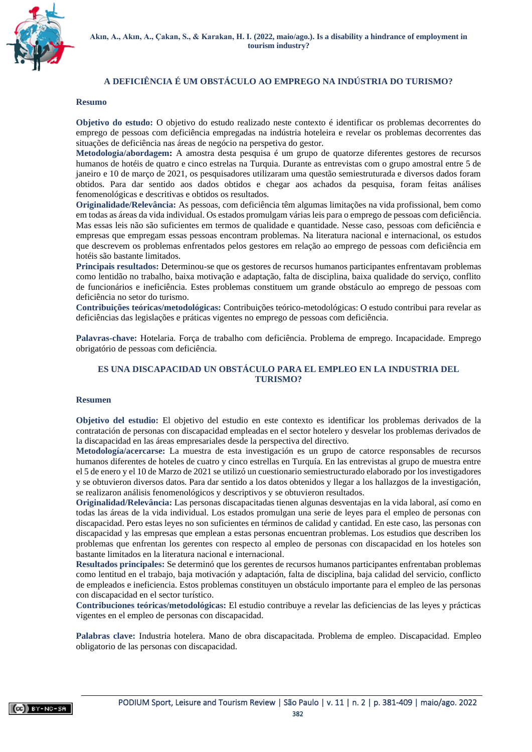

#### **A DEFICIÊNCIA É UM OBSTÁCULO AO EMPREGO NA INDÚSTRIA DO TURISMO?**

#### **Resumo**

**Objetivo do estudo:** O objetivo do estudo realizado neste contexto é identificar os problemas decorrentes do emprego de pessoas com deficiência empregadas na indústria hoteleira e revelar os problemas decorrentes das situações de deficiência nas áreas de negócio na perspetiva do gestor.

**Metodologia/abordagem:** A amostra desta pesquisa é um grupo de quatorze diferentes gestores de recursos humanos de hotéis de quatro e cinco estrelas na Turquia. Durante as entrevistas com o grupo amostral entre 5 de janeiro e 10 de março de 2021, os pesquisadores utilizaram uma questão semiestruturada e diversos dados foram obtidos. Para dar sentido aos dados obtidos e chegar aos achados da pesquisa, foram feitas análises fenomenológicas e descritivas e obtidos os resultados.

**Originalidade/Relevância:** As pessoas, com deficiência têm algumas limitações na vida profissional, bem como em todas as áreas da vida individual. Os estados promulgam várias leis para o emprego de pessoas com deficiência. Mas essas leis não são suficientes em termos de qualidade e quantidade. Nesse caso, pessoas com deficiência e empresas que empregam essas pessoas encontram problemas. Na literatura nacional e internacional, os estudos que descrevem os problemas enfrentados pelos gestores em relação ao emprego de pessoas com deficiência em hotéis são bastante limitados.

**Principais resultados:** Determinou-se que os gestores de recursos humanos participantes enfrentavam problemas como lentidão no trabalho, baixa motivação e adaptação, falta de disciplina, baixa qualidade do serviço, conflito de funcionários e ineficiência. Estes problemas constituem um grande obstáculo ao emprego de pessoas com deficiência no setor do turismo.

**Contribuições teóricas/metodológicas:** Contribuições teórico-metodológicas: O estudo contribui para revelar as deficiências das legislações e práticas vigentes no emprego de pessoas com deficiência.

**Palavras-chave:** Hotelaria. Força de trabalho com deficiência. Problema de emprego. Incapacidade. Emprego obrigatório de pessoas com deficiência.

#### **ES UNA DISCAPACIDAD UN OBSTÁCULO PARA EL EMPLEO EN LA INDUSTRIA DEL TURISMO?**

#### **Resumen**

**Objetivo del estudio:** El objetivo del estudio en este contexto es identificar los problemas derivados de la contratación de personas con discapacidad empleadas en el sector hotelero y desvelar los problemas derivados de la discapacidad en las áreas empresariales desde la perspectiva del directivo.

**Metodología/acercarse:** La muestra de esta investigación es un grupo de catorce responsables de recursos humanos diferentes de hoteles de cuatro y cinco estrellas en Turquía. En las entrevistas al grupo de muestra entre el 5 de enero y el 10 de Marzo de 2021 se utilizó un cuestionario semiestructurado elaborado por los investigadores y se obtuvieron diversos datos. Para dar sentido a los datos obtenidos y llegar a los hallazgos de la investigación, se realizaron análisis fenomenológicos y descriptivos y se obtuvieron resultados.

**Originalidad/Relevância:** Las personas discapacitadas tienen algunas desventajas en la vida laboral, así como en todas las áreas de la vida individual. Los estados promulgan una serie de leyes para el empleo de personas con discapacidad. Pero estas leyes no son suficientes en términos de calidad y cantidad. En este caso, las personas con discapacidad y las empresas que emplean a estas personas encuentran problemas. Los estudios que describen los problemas que enfrentan los gerentes con respecto al empleo de personas con discapacidad en los hoteles son bastante limitados en la literatura nacional e internacional.

**Resultados principales:** Se determinó que los gerentes de recursos humanos participantes enfrentaban problemas como lentitud en el trabajo, baja motivación y adaptación, falta de disciplina, baja calidad del servicio, conflicto de empleados e ineficiencia. Estos problemas constituyen un obstáculo importante para el empleo de las personas con discapacidad en el sector turístico.

**Contribuciones teóricas/metodológicas:** El estudio contribuye a revelar las deficiencias de las leyes y prácticas vigentes en el empleo de personas con discapacidad.

**Palabras clave:** Industria hotelera. Mano de obra discapacitada. Problema de empleo. Discapacidad. Empleo obligatorio de las personas con discapacidad.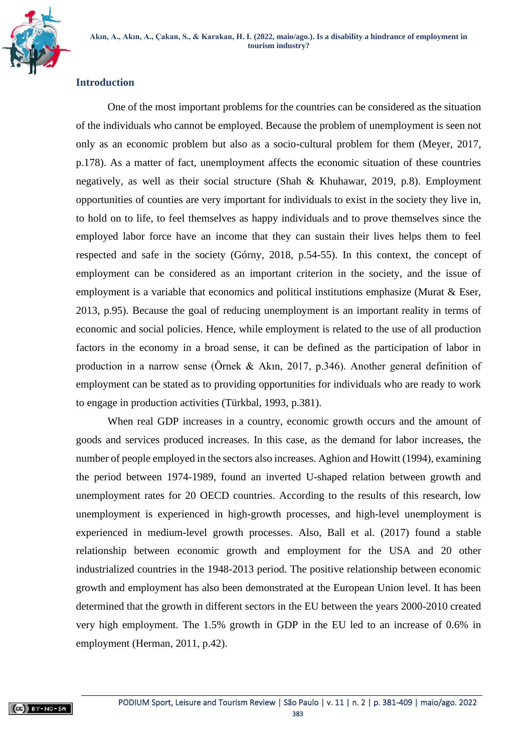

## **Introduction**

One of the most important problems for the countries can be considered as the situation of the individuals who cannot be employed. Because the problem of unemployment is seen not only as an economic problem but also as a socio-cultural problem for them (Meyer, 2017, p.178). As a matter of fact, unemployment affects the economic situation of these countries negatively, as well as their social structure (Shah & Khuhawar, 2019, p.8). Employment opportunities of counties are very important for individuals to exist in the society they live in, to hold on to life, to feel themselves as happy individuals and to prove themselves since the employed labor force have an income that they can sustain their lives helps them to feel respected and safe in the society (Górny, 2018, p.54-55). In this context, the concept of employment can be considered as an important criterion in the society, and the issue of employment is a variable that economics and political institutions emphasize (Murat & Eser, 2013, p.95). Because the goal of reducing unemployment is an important reality in terms of economic and social policies. Hence, while employment is related to the use of all production factors in the economy in a broad sense, it can be defined as the participation of labor in production in a narrow sense (Örnek & Akın, 2017, p.346). Another general definition of employment can be stated as to providing opportunities for individuals who are ready to work to engage in production activities (Türkbal, 1993, p.381).

When real GDP increases in a country, economic growth occurs and the amount of goods and services produced increases. In this case, as the demand for labor increases, the number of people employed in the sectors also increases. Aghion and Howitt (1994), examining the period between 1974-1989, found an inverted U-shaped relation between growth and unemployment rates for 20 OECD countries. According to the results of this research, low unemployment is experienced in high-growth processes, and high-level unemployment is experienced in medium-level growth processes. Also, Ball et al. (2017) found a stable relationship between economic growth and employment for the USA and 20 other industrialized countries in the 1948-2013 period. The positive relationship between economic growth and employment has also been demonstrated at the European Union level. It has been determined that the growth in different sectors in the EU between the years 2000-2010 created very high employment. The 1.5% growth in GDP in the EU led to an increase of 0.6% in employment (Herman, 2011, p.42).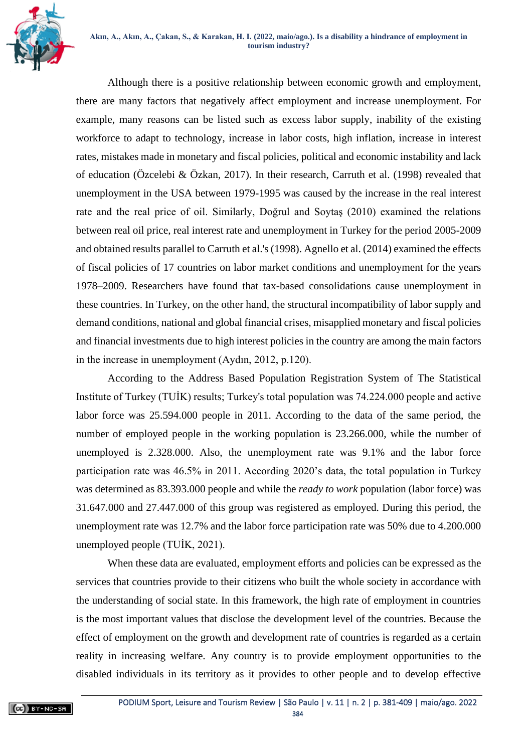



Although there is a positive relationship between economic growth and employment, there are many factors that negatively affect employment and increase unemployment. For example, many reasons can be listed such as excess labor supply, inability of the existing workforce to adapt to technology, increase in labor costs, high inflation, increase in interest rates, mistakes made in monetary and fiscal policies, political and economic instability and lack of education (Özcelebi & Özkan, 2017). In their research, Carruth et al. (1998) revealed that unemployment in the USA between 1979-1995 was caused by the increase in the real interest rate and the real price of oil. Similarly, Doğrul and Soytaş (2010) examined the relations between real oil price, real interest rate and unemployment in Turkey for the period 2005-2009 and obtained results parallel to Carruth et al.'s (1998). Agnello et al. (2014) examined the effects of fiscal policies of 17 countries on labor market conditions and unemployment for the years 1978–2009. Researchers have found that tax-based consolidations cause unemployment in these countries. In Turkey, on the other hand, the structural incompatibility of labor supply and demand conditions, national and global financial crises, misapplied monetary and fiscal policies and financial investments due to high interest policies in the country are among the main factors in the increase in unemployment (Aydın, 2012, p.120).

According to the Address Based Population Registration System of The Statistical Institute of Turkey (TUİK) results; Turkey's total population was 74.224.000 people and active labor force was 25.594.000 people in 2011. According to the data of the same period, the number of employed people in the working population is 23.266.000, while the number of unemployed is 2.328.000. Also, the unemployment rate was 9.1% and the labor force participation rate was 46.5% in 2011. According 2020's data, the total population in Turkey was determined as 83.393.000 people and while the *ready to work* population (labor force) was 31.647.000 and 27.447.000 of this group was registered as employed. During this period, the unemployment rate was 12.7% and the labor force participation rate was 50% due to 4.200.000 unemployed people (TUİK, 2021).

When these data are evaluated, employment efforts and policies can be expressed as the services that countries provide to their citizens who built the whole society in accordance with the understanding of social state. In this framework, the high rate of employment in countries is the most important values that disclose the development level of the countries. Because the effect of employment on the growth and development rate of countries is regarded as a certain reality in increasing welfare. Any country is to provide employment opportunities to the disabled individuals in its territory as it provides to other people and to develop effective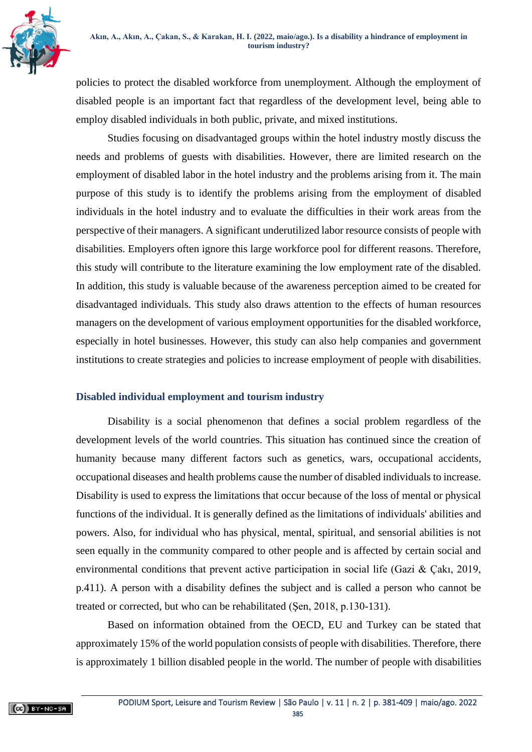

policies to protect the disabled workforce from unemployment. Although the employment of disabled people is an important fact that regardless of the development level, being able to employ disabled individuals in both public, private, and mixed institutions.

Studies focusing on disadvantaged groups within the hotel industry mostly discuss the needs and problems of guests with disabilities. However, there are limited research on the employment of disabled labor in the hotel industry and the problems arising from it. The main purpose of this study is to identify the problems arising from the employment of disabled individuals in the hotel industry and to evaluate the difficulties in their work areas from the perspective of their managers. A significant underutilized labor resource consists of people with disabilities. Employers often ignore this large workforce pool for different reasons. Therefore, this study will contribute to the literature examining the low employment rate of the disabled. In addition, this study is valuable because of the awareness perception aimed to be created for disadvantaged individuals. This study also draws attention to the effects of human resources managers on the development of various employment opportunities for the disabled workforce, especially in hotel businesses. However, this study can also help companies and government institutions to create strategies and policies to increase employment of people with disabilities.

# **Disabled individual employment and tourism industry**

Disability is a social phenomenon that defines a social problem regardless of the development levels of the world countries. This situation has continued since the creation of humanity because many different factors such as genetics, wars, occupational accidents, occupational diseases and health problems cause the number of disabled individuals to increase. Disability is used to express the limitations that occur because of the loss of mental or physical functions of the individual. It is generally defined as the limitations of individuals' abilities and powers. Also, for individual who has physical, mental, spiritual, and sensorial abilities is not seen equally in the community compared to other people and is affected by certain social and environmental conditions that prevent active participation in social life (Gazi & Çakı, 2019, p.411). A person with a disability defines the subject and is called a person who cannot be treated or corrected, but who can be rehabilitated (Şen, 2018, p.130-131).

Based on information obtained from the OECD, EU and Turkey can be stated that approximately 15% of the world population consists of people with disabilities. Therefore, there is approximately 1 billion disabled people in the world. The number of people with disabilities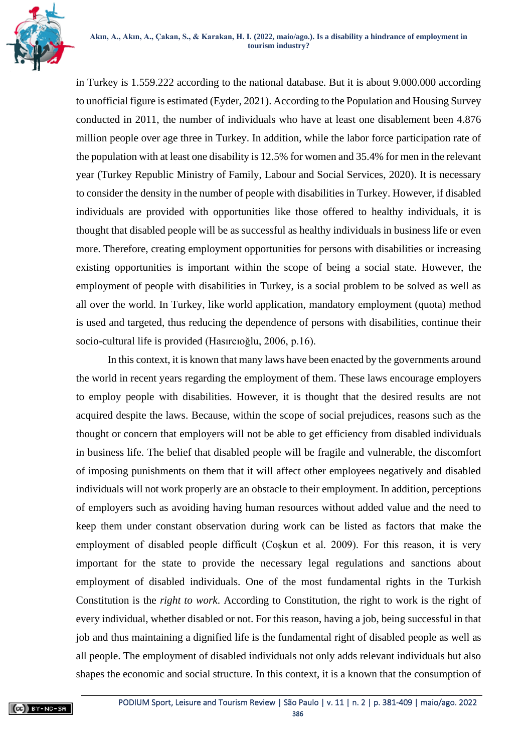in Turkey is 1.559.222 according to the national database. But it is about 9.000.000 according to unofficial figure is estimated (Eyder, 2021). According to the Population and Housing Survey conducted in 2011, the number of individuals who have at least one disablement been 4.876 million people over age three in Turkey. In addition, while the labor force participation rate of the population with at least one disability is 12.5% for women and 35.4% for men in the relevant year (Turkey Republic Ministry of Family, Labour and Social Services, 2020). It is necessary to consider the density in the number of people with disabilities in Turkey. However, if disabled individuals are provided with opportunities like those offered to healthy individuals, it is thought that disabled people will be as successful as healthy individuals in business life or even more. Therefore, creating employment opportunities for persons with disabilities or increasing existing opportunities is important within the scope of being a social state. However, the employment of people with disabilities in Turkey, is a social problem to be solved as well as all over the world. In Turkey, like world application, mandatory employment (quota) method is used and targeted, thus reducing the dependence of persons with disabilities, continue their socio-cultural life is provided (Hasırcıoğlu, 2006, p.16).

In this context, it is known that many laws have been enacted by the governments around the world in recent years regarding the employment of them. These laws encourage employers to employ people with disabilities. However, it is thought that the desired results are not acquired despite the laws. Because, within the scope of social prejudices, reasons such as the thought or concern that employers will not be able to get efficiency from disabled individuals in business life. The belief that disabled people will be fragile and vulnerable, the discomfort of imposing punishments on them that it will affect other employees negatively and disabled individuals will not work properly are an obstacle to their employment. In addition, perceptions of employers such as avoiding having human resources without added value and the need to keep them under constant observation during work can be listed as factors that make the employment of disabled people difficult (Coşkun et al. 2009). For this reason, it is very important for the state to provide the necessary legal regulations and sanctions about employment of disabled individuals. One of the most fundamental rights in the Turkish Constitution is the *right to work*. According to Constitution, the right to work is the right of every individual, whether disabled or not. For this reason, having a job, being successful in that job and thus maintaining a dignified life is the fundamental right of disabled people as well as all people. The employment of disabled individuals not only adds relevant individuals but also shapes the economic and social structure. In this context, it is a known that the consumption of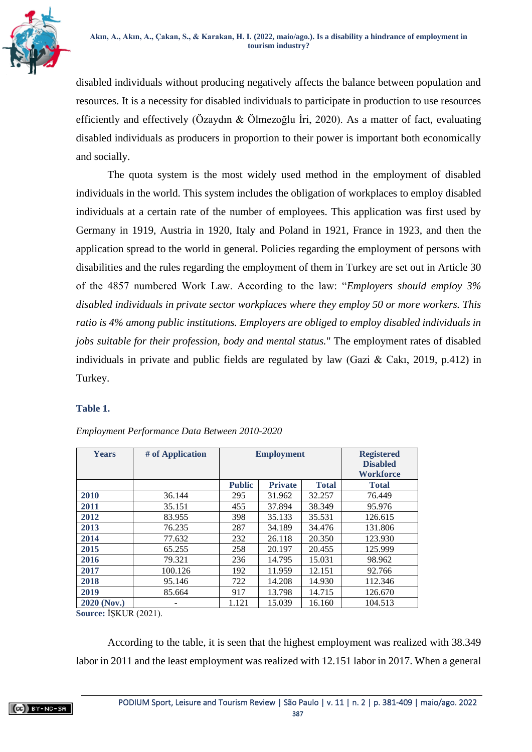

disabled individuals without producing negatively affects the balance between population and resources. It is a necessity for disabled individuals to participate in production to use resources efficiently and effectively (Özaydın & Ölmezoğlu İri, 2020). As a matter of fact, evaluating disabled individuals as producers in proportion to their power is important both economically and socially.

The quota system is the most widely used method in the employment of disabled individuals in the world. This system includes the obligation of workplaces to employ disabled individuals at a certain rate of the number of employees. This application was first used by Germany in 1919, Austria in 1920, Italy and Poland in 1921, France in 1923, and then the application spread to the world in general. Policies regarding the employment of persons with disabilities and the rules regarding the employment of them in Turkey are set out in Article 30 of the 4857 numbered Work Law. According to the law: "*Employers should employ 3% disabled individuals in private sector workplaces where they employ 50 or more workers. This ratio is 4% among public institutions. Employers are obliged to employ disabled individuals in jobs suitable for their profession, body and mental status.*" The employment rates of disabled individuals in private and public fields are regulated by law (Gazi & Cakı, 2019, p.412) in Turkey.

## **Table 1.**

| <b>Years</b>       | # of Application |               | <b>Employment</b> | <b>Registered</b><br><b>Disabled</b><br><b>Workforce</b> |         |  |
|--------------------|------------------|---------------|-------------------|----------------------------------------------------------|---------|--|
|                    |                  | <b>Public</b> | <b>Private</b>    | <b>Total</b>                                             |         |  |
| 2010               | 36.144           | 295           | 31.962            | 32.257                                                   | 76.449  |  |
| 2011               | 35.151           | 455           | 37.894            | 38.349                                                   | 95.976  |  |
| 2012               | 83.955           | 398           | 35.133            | 35.531                                                   | 126.615 |  |
| 2013               | 76.235           | 287           | 34.189            | 34.476                                                   | 131.806 |  |
| 2014               | 77.632           | 232           | 26.118            | 20.350                                                   | 123.930 |  |
| 2015               | 65.255           | 258           | 20.197            | 20.455                                                   | 125.999 |  |
| 2016               | 79.321           | 236           | 14.795            | 15.031                                                   | 98.962  |  |
| 2017               | 100.126          | 192           | 11.959            | 12.151                                                   | 92.766  |  |
| 2018               | 95.146           | 722           | 14.208            | 14.930                                                   | 112.346 |  |
| 2019               | 85.664           | 917           | 13.798            | 14.715                                                   | 126.670 |  |
| <b>2020 (Nov.)</b> |                  | 1.121         | 15.039            | 16.160                                                   | 104.513 |  |

# *Employment Performance Data Between 2010-2020*

**Source:** İŞKUR (2021).

According to the table, it is seen that the highest employment was realized with 38.349 labor in 2011 and the least employment was realized with 12.151 labor in 2017. When a general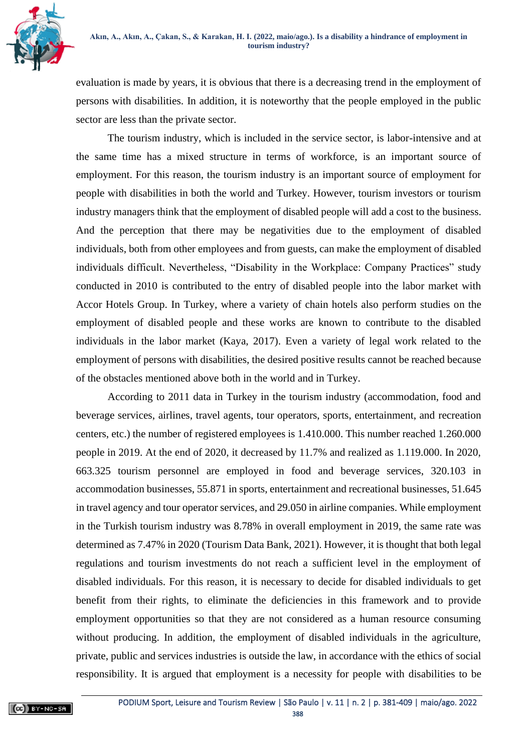

evaluation is made by years, it is obvious that there is a decreasing trend in the employment of persons with disabilities. In addition, it is noteworthy that the people employed in the public sector are less than the private sector.

The tourism industry, which is included in the service sector, is labor-intensive and at the same time has a mixed structure in terms of workforce, is an important source of employment. For this reason, the tourism industry is an important source of employment for people with disabilities in both the world and Turkey. However, tourism investors or tourism industry managers think that the employment of disabled people will add a cost to the business. And the perception that there may be negativities due to the employment of disabled individuals, both from other employees and from guests, can make the employment of disabled individuals difficult. Nevertheless, "Disability in the Workplace: Company Practices" study conducted in 2010 is contributed to the entry of disabled people into the labor market with Accor Hotels Group. In Turkey, where a variety of chain hotels also perform studies on the employment of disabled people and these works are known to contribute to the disabled individuals in the labor market (Kaya, 2017). Even a variety of legal work related to the employment of persons with disabilities, the desired positive results cannot be reached because of the obstacles mentioned above both in the world and in Turkey.

According to 2011 data in Turkey in the tourism industry (accommodation, food and beverage services, airlines, travel agents, tour operators, sports, entertainment, and recreation centers, etc.) the number of registered employees is 1.410.000. This number reached 1.260.000 people in 2019. At the end of 2020, it decreased by 11.7% and realized as 1.119.000. In 2020, 663.325 tourism personnel are employed in food and beverage services, 320.103 in accommodation businesses, 55.871 in sports, entertainment and recreational businesses, 51.645 in travel agency and tour operator services, and 29.050 in airline companies. While employment in the Turkish tourism industry was 8.78% in overall employment in 2019, the same rate was determined as 7.47% in 2020 (Tourism Data Bank, 2021). However, it is thought that both legal regulations and tourism investments do not reach a sufficient level in the employment of disabled individuals. For this reason, it is necessary to decide for disabled individuals to get benefit from their rights, to eliminate the deficiencies in this framework and to provide employment opportunities so that they are not considered as a human resource consuming without producing. In addition, the employment of disabled individuals in the agriculture, private, public and services industries is outside the law, in accordance with the ethics of social responsibility. It is argued that employment is a necessity for people with disabilities to be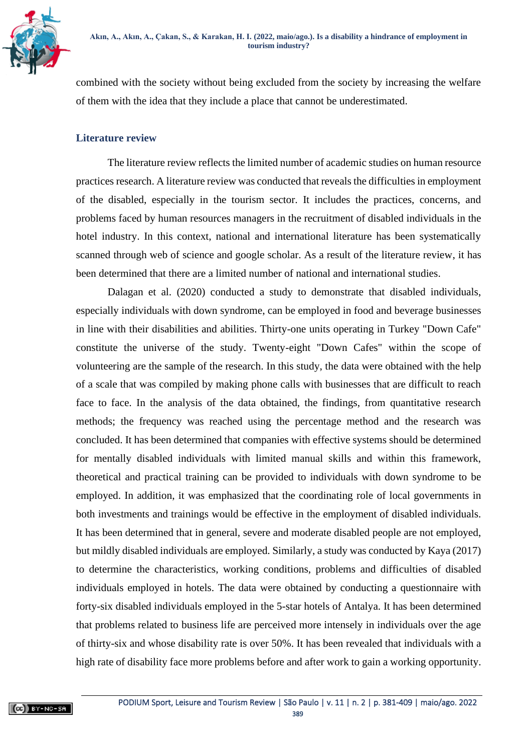

combined with the society without being excluded from the society by increasing the welfare of them with the idea that they include a place that cannot be underestimated.

## **Literature review**

The literature review reflects the limited number of academic studies on human resource practices research. A literature review was conducted that reveals the difficulties in employment of the disabled, especially in the tourism sector. It includes the practices, concerns, and problems faced by human resources managers in the recruitment of disabled individuals in the hotel industry. In this context, national and international literature has been systematically scanned through web of science and google scholar. As a result of the literature review, it has been determined that there are a limited number of national and international studies.

Dalagan et al. (2020) conducted a study to demonstrate that disabled individuals, especially individuals with down syndrome, can be employed in food and beverage businesses in line with their disabilities and abilities. Thirty-one units operating in Turkey "Down Cafe" constitute the universe of the study. Twenty-eight "Down Cafes" within the scope of volunteering are the sample of the research. In this study, the data were obtained with the help of a scale that was compiled by making phone calls with businesses that are difficult to reach face to face. In the analysis of the data obtained, the findings, from quantitative research methods; the frequency was reached using the percentage method and the research was concluded. It has been determined that companies with effective systems should be determined for mentally disabled individuals with limited manual skills and within this framework, theoretical and practical training can be provided to individuals with down syndrome to be employed. In addition, it was emphasized that the coordinating role of local governments in both investments and trainings would be effective in the employment of disabled individuals. It has been determined that in general, severe and moderate disabled people are not employed, but mildly disabled individuals are employed. Similarly, a study was conducted by Kaya (2017) to determine the characteristics, working conditions, problems and difficulties of disabled individuals employed in hotels. The data were obtained by conducting a questionnaire with forty-six disabled individuals employed in the 5-star hotels of Antalya. It has been determined that problems related to business life are perceived more intensely in individuals over the age of thirty-six and whose disability rate is over 50%. It has been revealed that individuals with a high rate of disability face more problems before and after work to gain a working opportunity.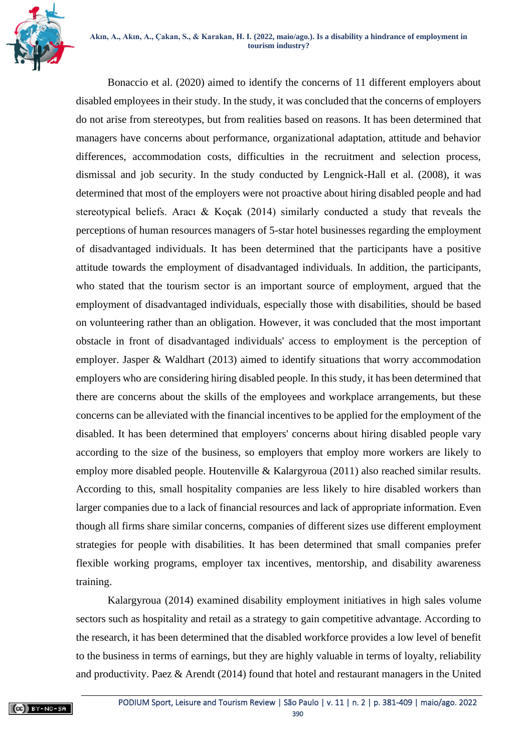

Bonaccio et al. (2020) aimed to identify the concerns of 11 different employers about disabled employees in their study. In the study, it was concluded that the concerns of employers do not arise from stereotypes, but from realities based on reasons. It has been determined that managers have concerns about performance, organizational adaptation, attitude and behavior differences, accommodation costs, difficulties in the recruitment and selection process, dismissal and job security. In the study conducted by Lengnick-Hall et al. (2008), it was determined that most of the employers were not proactive about hiring disabled people and had stereotypical beliefs. Aracı & Koçak (2014) similarly conducted a study that reveals the perceptions of human resources managers of 5-star hotel businesses regarding the employment of disadvantaged individuals. It has been determined that the participants have a positive attitude towards the employment of disadvantaged individuals. In addition, the participants, who stated that the tourism sector is an important source of employment, argued that the employment of disadvantaged individuals, especially those with disabilities, should be based on volunteering rather than an obligation. However, it was concluded that the most important obstacle in front of disadvantaged individuals' access to employment is the perception of employer. Jasper & Waldhart (2013) aimed to identify situations that worry accommodation employers who are considering hiring disabled people. In this study, it has been determined that there are concerns about the skills of the employees and workplace arrangements, but these concerns can be alleviated with the financial incentives to be applied for the employment of the disabled. It has been determined that employers' concerns about hiring disabled people vary according to the size of the business, so employers that employ more workers are likely to employ more disabled people. Houtenville & Kalargyroua (2011) also reached similar results. According to this, small hospitality companies are less likely to hire disabled workers than larger companies due to a lack of financial resources and lack of appropriate information. Even though all firms share similar concerns, companies of different sizes use different employment strategies for people with disabilities. It has been determined that small companies prefer flexible working programs, employer tax incentives, mentorship, and disability awareness training.

Kalargyroua (2014) examined disability employment initiatives in high sales volume sectors such as hospitality and retail as a strategy to gain competitive advantage. According to the research, it has been determined that the disabled workforce provides a low level of benefit to the business in terms of earnings, but they are highly valuable in terms of loyalty, reliability and productivity. Paez & Arendt (2014) found that hotel and restaurant managers in the United

[PODIUM Sport, Leisure and Tourism Review |](https://periodicos.uninove.br/index.php?journal=podium&page=index) São Paulo | v. 11 | n. 2 | p. 381-409 | maio/ago. 2022 390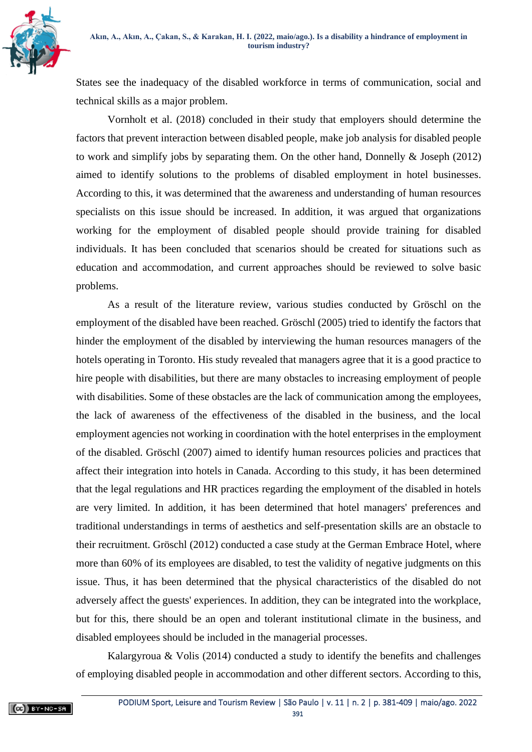

States see the inadequacy of the disabled workforce in terms of communication, social and technical skills as a major problem.

Vornholt et al. (2018) concluded in their study that employers should determine the factors that prevent interaction between disabled people, make job analysis for disabled people to work and simplify jobs by separating them. On the other hand, Donnelly & Joseph (2012) aimed to identify solutions to the problems of disabled employment in hotel businesses. According to this, it was determined that the awareness and understanding of human resources specialists on this issue should be increased. In addition, it was argued that organizations working for the employment of disabled people should provide training for disabled individuals. It has been concluded that scenarios should be created for situations such as education and accommodation, and current approaches should be reviewed to solve basic problems.

As a result of the literature review, various studies conducted by Gröschl on the employment of the disabled have been reached. Gröschl (2005) tried to identify the factors that hinder the employment of the disabled by interviewing the human resources managers of the hotels operating in Toronto. His study revealed that managers agree that it is a good practice to hire people with disabilities, but there are many obstacles to increasing employment of people with disabilities. Some of these obstacles are the lack of communication among the employees, the lack of awareness of the effectiveness of the disabled in the business, and the local employment agencies not working in coordination with the hotel enterprises in the employment of the disabled. Gröschl (2007) aimed to identify human resources policies and practices that affect their integration into hotels in Canada. According to this study, it has been determined that the legal regulations and HR practices regarding the employment of the disabled in hotels are very limited. In addition, it has been determined that hotel managers' preferences and traditional understandings in terms of aesthetics and self-presentation skills are an obstacle to their recruitment. Gröschl (2012) conducted a case study at the German Embrace Hotel, where more than 60% of its employees are disabled, to test the validity of negative judgments on this issue. Thus, it has been determined that the physical characteristics of the disabled do not adversely affect the guests' experiences. In addition, they can be integrated into the workplace, but for this, there should be an open and tolerant institutional climate in the business, and disabled employees should be included in the managerial processes.

Kalargyroua  $\&$  Volis (2014) conducted a study to identify the benefits and challenges of employing disabled people in accommodation and other different sectors. According to this,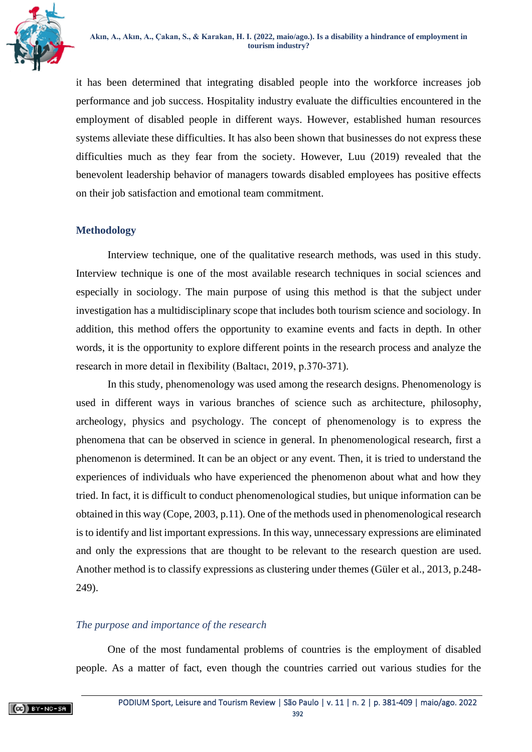

it has been determined that integrating disabled people into the workforce increases job performance and job success. Hospitality industry evaluate the difficulties encountered in the employment of disabled people in different ways. However, established human resources systems alleviate these difficulties. It has also been shown that businesses do not express these difficulties much as they fear from the society. However, Luu (2019) revealed that the benevolent leadership behavior of managers towards disabled employees has positive effects on their job satisfaction and emotional team commitment.

# **Methodology**

Interview technique, one of the qualitative research methods, was used in this study. Interview technique is one of the most available research techniques in social sciences and especially in sociology. The main purpose of using this method is that the subject under investigation has a multidisciplinary scope that includes both tourism science and sociology. In addition, this method offers the opportunity to examine events and facts in depth. In other words, it is the opportunity to explore different points in the research process and analyze the research in more detail in flexibility (Baltacı, 2019, p.370-371).

In this study, phenomenology was used among the research designs. Phenomenology is used in different ways in various branches of science such as architecture, philosophy, archeology, physics and psychology. The concept of phenomenology is to express the phenomena that can be observed in science in general. In phenomenological research, first a phenomenon is determined. It can be an object or any event. Then, it is tried to understand the experiences of individuals who have experienced the phenomenon about what and how they tried. In fact, it is difficult to conduct phenomenological studies, but unique information can be obtained in this way (Cope, 2003, p.11). One of the methods used in phenomenological research is to identify and list important expressions. In this way, unnecessary expressions are eliminated and only the expressions that are thought to be relevant to the research question are used. Another method is to classify expressions as clustering under themes (Güler et al., 2013, p.248- 249).

# *The purpose and importance of the research*

One of the most fundamental problems of countries is the employment of disabled people. As a matter of fact, even though the countries carried out various studies for the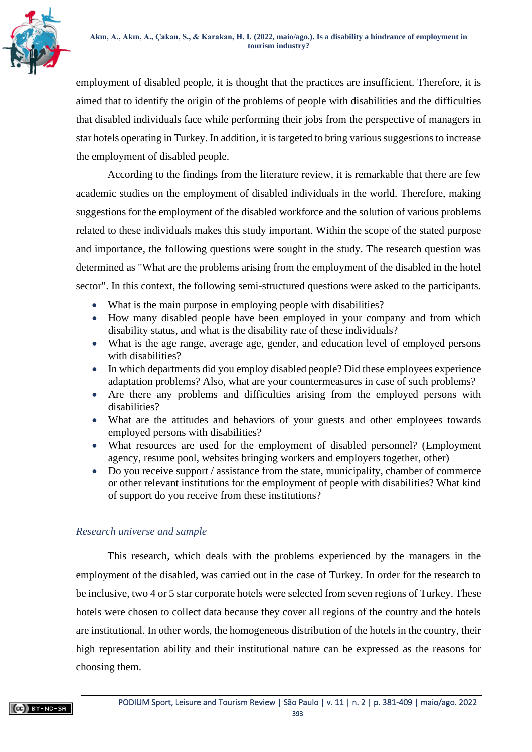

employment of disabled people, it is thought that the practices are insufficient. Therefore, it is aimed that to identify the origin of the problems of people with disabilities and the difficulties that disabled individuals face while performing their jobs from the perspective of managers in star hotels operating in Turkey. In addition, it is targeted to bring various suggestions to increase the employment of disabled people.

According to the findings from the literature review, it is remarkable that there are few academic studies on the employment of disabled individuals in the world. Therefore, making suggestions for the employment of the disabled workforce and the solution of various problems related to these individuals makes this study important. Within the scope of the stated purpose and importance, the following questions were sought in the study. The research question was determined as "What are the problems arising from the employment of the disabled in the hotel sector". In this context, the following semi-structured questions were asked to the participants.

- What is the main purpose in employing people with disabilities?
- How many disabled people have been employed in your company and from which disability status, and what is the disability rate of these individuals?
- What is the age range, average age, gender, and education level of employed persons with disabilities?
- In which departments did you employ disabled people? Did these employees experience adaptation problems? Also, what are your countermeasures in case of such problems?
- Are there any problems and difficulties arising from the employed persons with disabilities?
- What are the attitudes and behaviors of your guests and other employees towards employed persons with disabilities?
- What resources are used for the employment of disabled personnel? (Employment agency, resume pool, websites bringing workers and employers together, other)
- Do you receive support / assistance from the state, municipality, chamber of commerce or other relevant institutions for the employment of people with disabilities? What kind of support do you receive from these institutions?

# *Research universe and sample*

This research, which deals with the problems experienced by the managers in the employment of the disabled, was carried out in the case of Turkey. In order for the research to be inclusive, two 4 or 5 star corporate hotels were selected from seven regions of Turkey. These hotels were chosen to collect data because they cover all regions of the country and the hotels are institutional. In other words, the homogeneous distribution of the hotels in the country, their high representation ability and their institutional nature can be expressed as the reasons for choosing them.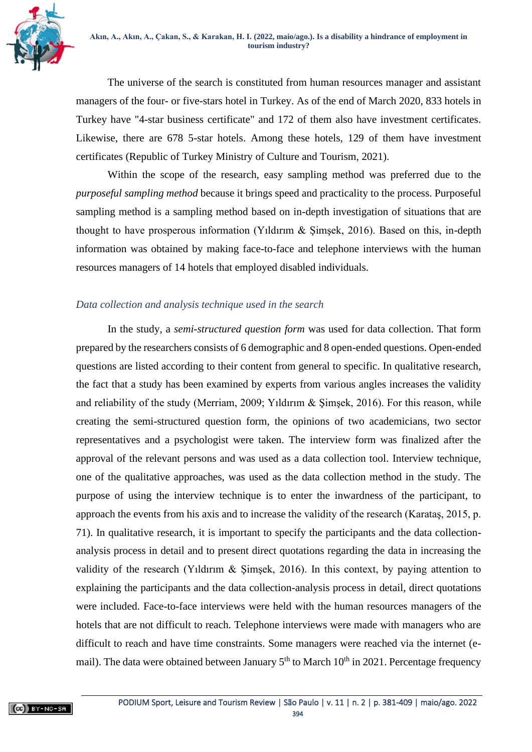

The universe of the search is constituted from human resources manager and assistant managers of the four- or five-stars hotel in Turkey. As of the end of March 2020, 833 hotels in Turkey have "4-star business certificate" and 172 of them also have investment certificates. Likewise, there are 678 5-star hotels. Among these hotels, 129 of them have investment certificates (Republic of Turkey Ministry of Culture and Tourism, 2021).

Within the scope of the research, easy sampling method was preferred due to the *purposeful sampling method* because it brings speed and practicality to the process. Purposeful sampling method is a sampling method based on in-depth investigation of situations that are thought to have prosperous information (Yildirum  $\&$  Simsek, 2016). Based on this, in-depth information was obtained by making face-to-face and telephone interviews with the human resources managers of 14 hotels that employed disabled individuals.

# *Data collection and analysis technique used in the search*

In the study, a *semi-structured question form* was used for data collection. That form prepared by the researchers consists of 6 demographic and 8 open-ended questions. Open-ended questions are listed according to their content from general to specific. In qualitative research, the fact that a study has been examined by experts from various angles increases the validity and reliability of the study (Merriam, 2009; Yıldırım & Şimşek, 2016). For this reason, while creating the semi-structured question form, the opinions of two academicians, two sector representatives and a psychologist were taken. The interview form was finalized after the approval of the relevant persons and was used as a data collection tool. Interview technique, one of the qualitative approaches, was used as the data collection method in the study. The purpose of using the interview technique is to enter the inwardness of the participant, to approach the events from his axis and to increase the validity of the research (Karataş, 2015, p. 71). In qualitative research, it is important to specify the participants and the data collectionanalysis process in detail and to present direct quotations regarding the data in increasing the validity of the research (Yıldırım & Şimşek, 2016). In this context, by paying attention to explaining the participants and the data collection-analysis process in detail, direct quotations were included. Face-to-face interviews were held with the human resources managers of the hotels that are not difficult to reach. Telephone interviews were made with managers who are difficult to reach and have time constraints. Some managers were reached via the internet (email). The data were obtained between January  $5<sup>th</sup>$  to March 10<sup>th</sup> in 2021. Percentage frequency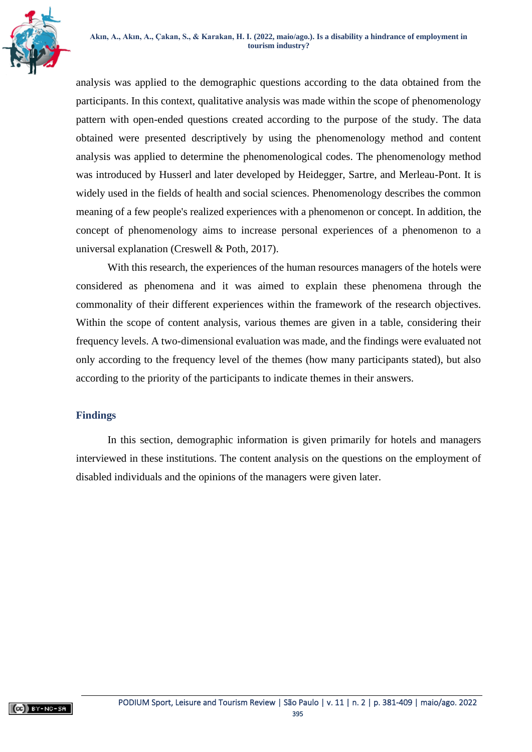

analysis was applied to the demographic questions according to the data obtained from the participants. In this context, qualitative analysis was made within the scope of phenomenology pattern with open-ended questions created according to the purpose of the study. The data obtained were presented descriptively by using the phenomenology method and content analysis was applied to determine the phenomenological codes. The phenomenology method was introduced by Husserl and later developed by Heidegger, Sartre, and Merleau-Pont. It is widely used in the fields of health and social sciences. Phenomenology describes the common meaning of a few people's realized experiences with a phenomenon or concept. In addition, the concept of phenomenology aims to increase personal experiences of a phenomenon to a universal explanation (Creswell & Poth, 2017).

With this research, the experiences of the human resources managers of the hotels were considered as phenomena and it was aimed to explain these phenomena through the commonality of their different experiences within the framework of the research objectives. Within the scope of content analysis, various themes are given in a table, considering their frequency levels. A two-dimensional evaluation was made, and the findings were evaluated not only according to the frequency level of the themes (how many participants stated), but also according to the priority of the participants to indicate themes in their answers.

# **Findings**

In this section, demographic information is given primarily for hotels and managers interviewed in these institutions. The content analysis on the questions on the employment of disabled individuals and the opinions of the managers were given later.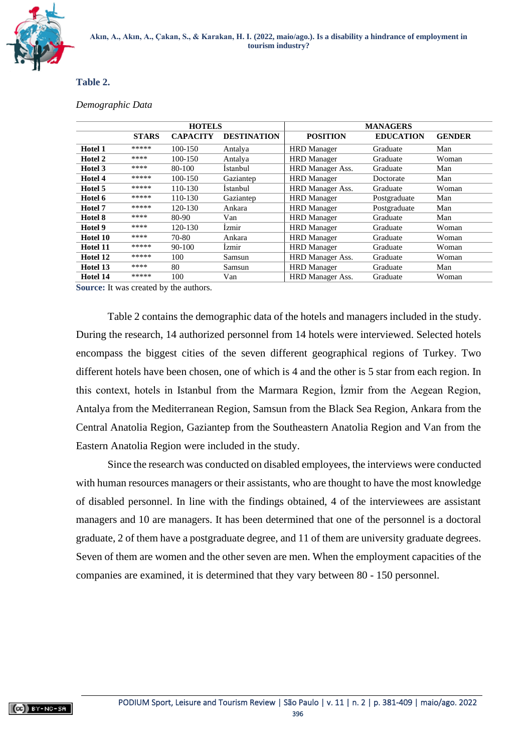

#### **Table 2.**

#### *Demographic Data*

|                |              | <b>HOTELS</b>   |                    | <b>MANAGERS</b>         |                  |               |  |  |  |  |  |
|----------------|--------------|-----------------|--------------------|-------------------------|------------------|---------------|--|--|--|--|--|
|                | <b>STARS</b> | <b>CAPACITY</b> | <b>DESTINATION</b> | <b>POSITION</b>         | <b>EDUCATION</b> | <b>GENDER</b> |  |  |  |  |  |
| <b>Hotel 1</b> | *****        | 100-150         | Antalya            | <b>HRD</b> Manager      | Graduate         | Man           |  |  |  |  |  |
| Hotel 2        | ****         | 100-150         | Antalva            | <b>HRD</b> Manager      | Graduate         | Woman         |  |  |  |  |  |
| Hotel 3        | ****         | 80-100          | İstanbul           | HRD Manager Ass.        | Graduate         | Man           |  |  |  |  |  |
| Hotel 4        | *****        | 100-150         | Gaziantep          | <b>HRD</b> Manager      | Doctorate        | Man           |  |  |  |  |  |
| Hotel 5        | *****        | 110-130         | İstanbul           | <b>HRD</b> Manager Ass. | Graduate         | Woman         |  |  |  |  |  |
| Hotel 6        | *****        | 110-130         | Gaziantep          | <b>HRD</b> Manager      | Postgraduate     | Man           |  |  |  |  |  |
| Hotel 7        | *****        | 120-130         | Ankara             | <b>HRD</b> Manager      | Postgraduate     | Man           |  |  |  |  |  |
| Hotel 8        | ****         | 80-90           | Van                | <b>HRD</b> Manager      | Graduate         | Man           |  |  |  |  |  |
| Hotel 9        | ****         | 120-130         | Izmir              | <b>HRD</b> Manager      | Graduate         | Woman         |  |  |  |  |  |
| Hotel 10       | ****         | 70-80           | Ankara             | <b>HRD</b> Manager      | Graduate         | Woman         |  |  |  |  |  |
| Hotel 11       | *****        | 90-100          | Izmir              | <b>HRD</b> Manager      | Graduate         | Woman         |  |  |  |  |  |
| Hotel 12       | *****        | 100             | Samsun             | <b>HRD</b> Manager Ass. | Graduate         | Woman         |  |  |  |  |  |
| Hotel 13       | ****         | 80              | Samsun             | <b>HRD</b> Manager      | Graduate         | Man           |  |  |  |  |  |
| Hotel 14       | *****        | 100             | Van                | HRD Manager Ass.        | Graduate         |               |  |  |  |  |  |

**Source:** It was created by the authors.

Table 2 contains the demographic data of the hotels and managers included in the study. During the research, 14 authorized personnel from 14 hotels were interviewed. Selected hotels encompass the biggest cities of the seven different geographical regions of Turkey. Two different hotels have been chosen, one of which is 4 and the other is 5 star from each region. In this context, hotels in Istanbul from the Marmara Region, İzmir from the Aegean Region, Antalya from the Mediterranean Region, Samsun from the Black Sea Region, Ankara from the Central Anatolia Region, Gaziantep from the Southeastern Anatolia Region and Van from the Eastern Anatolia Region were included in the study.

Since the research was conducted on disabled employees, the interviews were conducted with human resources managers or their assistants, who are thought to have the most knowledge of disabled personnel. In line with the findings obtained, 4 of the interviewees are assistant managers and 10 are managers. It has been determined that one of the personnel is a doctoral graduate, 2 of them have a postgraduate degree, and 11 of them are university graduate degrees. Seven of them are women and the other seven are men. When the employment capacities of the companies are examined, it is determined that they vary between 80 - 150 personnel.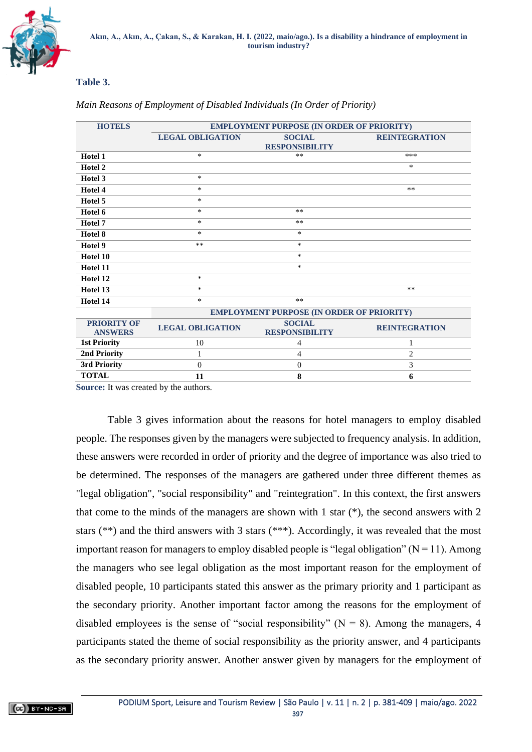

### **Table 3.**

| <b>HOTELS</b>       | <b>EMPLOYMENT PURPOSE (IN ORDER OF PRIORITY)</b> |                                                  |                      |  |  |  |  |  |  |  |  |  |
|---------------------|--------------------------------------------------|--------------------------------------------------|----------------------|--|--|--|--|--|--|--|--|--|
|                     | <b>LEGAL OBLIGATION</b>                          | <b>SOCIAL</b>                                    | <b>REINTEGRATION</b> |  |  |  |  |  |  |  |  |  |
|                     |                                                  | <b>RESPONSIBILITY</b>                            |                      |  |  |  |  |  |  |  |  |  |
| Hotel 1             | $\ast$                                           | $**$                                             | ***                  |  |  |  |  |  |  |  |  |  |
| Hotel 2             |                                                  |                                                  | *                    |  |  |  |  |  |  |  |  |  |
| Hotel 3             | $\ast$                                           |                                                  |                      |  |  |  |  |  |  |  |  |  |
| Hotel 4             | $\ast$                                           |                                                  | $***$                |  |  |  |  |  |  |  |  |  |
| Hotel 5             | *                                                |                                                  |                      |  |  |  |  |  |  |  |  |  |
| Hotel 6             | *                                                | **                                               |                      |  |  |  |  |  |  |  |  |  |
| Hotel 7             | $\ast$                                           | $***$                                            |                      |  |  |  |  |  |  |  |  |  |
| Hotel 8             | *                                                | *                                                |                      |  |  |  |  |  |  |  |  |  |
| Hotel 9             | $**$                                             | *                                                |                      |  |  |  |  |  |  |  |  |  |
| Hotel 10            |                                                  | *                                                |                      |  |  |  |  |  |  |  |  |  |
| Hotel 11            |                                                  | *                                                |                      |  |  |  |  |  |  |  |  |  |
| Hotel 12            | $\ast$                                           |                                                  |                      |  |  |  |  |  |  |  |  |  |
| Hotel 13            | *                                                |                                                  | **                   |  |  |  |  |  |  |  |  |  |
| Hotel 14            | *                                                | $***$                                            |                      |  |  |  |  |  |  |  |  |  |
|                     |                                                  | <b>EMPLOYMENT PURPOSE (IN ORDER OF PRIORITY)</b> |                      |  |  |  |  |  |  |  |  |  |
| <b>PRIORITY OF</b>  | <b>LEGAL OBLIGATION</b>                          | <b>SOCIAL</b>                                    | <b>REINTEGRATION</b> |  |  |  |  |  |  |  |  |  |
| <b>ANSWERS</b>      |                                                  | <b>RESPONSIBILITY</b>                            |                      |  |  |  |  |  |  |  |  |  |
| <b>1st Priority</b> | 10                                               | 4                                                | 1                    |  |  |  |  |  |  |  |  |  |
| 2nd Priority        | 1                                                | 4                                                | $\overline{c}$       |  |  |  |  |  |  |  |  |  |
| 3rd Priority        | $\Omega$                                         | $\mathbf{0}$                                     | 3                    |  |  |  |  |  |  |  |  |  |
| <b>TOTAL</b>        | 11                                               | 8                                                | 6                    |  |  |  |  |  |  |  |  |  |

### *Main Reasons of Employment of Disabled Individuals (In Order of Priority)*

**Source:** It was created by the authors.

Table 3 gives information about the reasons for hotel managers to employ disabled people. The responses given by the managers were subjected to frequency analysis. In addition, these answers were recorded in order of priority and the degree of importance was also tried to be determined. The responses of the managers are gathered under three different themes as "legal obligation", "social responsibility" and "reintegration". In this context, the first answers that come to the minds of the managers are shown with 1 star  $(*)$ , the second answers with 2 stars (\*\*) and the third answers with 3 stars (\*\*\*). Accordingly, it was revealed that the most important reason for managers to employ disabled people is "legal obligation" ( $N = 11$ ). Among the managers who see legal obligation as the most important reason for the employment of disabled people, 10 participants stated this answer as the primary priority and 1 participant as the secondary priority. Another important factor among the reasons for the employment of disabled employees is the sense of "social responsibility" ( $N = 8$ ). Among the managers, 4 participants stated the theme of social responsibility as the priority answer, and 4 participants as the secondary priority answer. Another answer given by managers for the employment of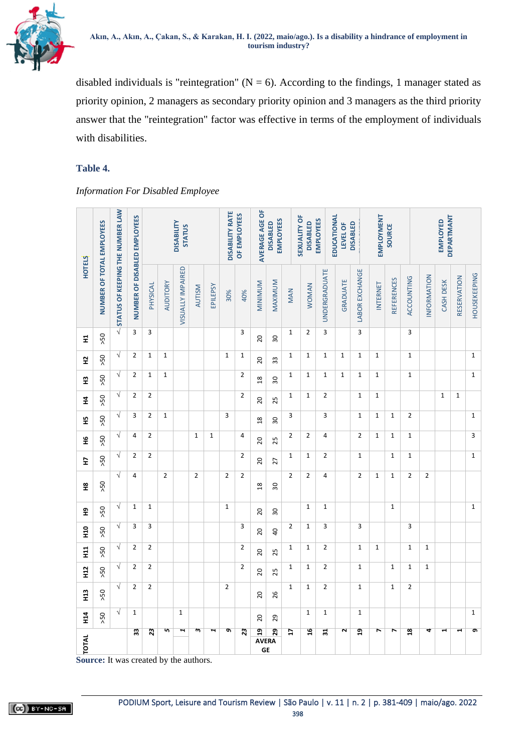

disabled individuals is "reintegration" ( $N = 6$ ). According to the findings, 1 manager stated as priority opinion, 2 managers as secondary priority opinion and 3 managers as the third priority answer that the "reintegration" factor was effective in terms of the employment of individuals with disabilities.

## **Table 4.**

*Information For Disabled Employee*

|                                                                                                                                                                                                                                                                                                                                                                                                                              |                           |                                  | <b>DISABILITY</b><br><b>STATUS</b> |                |                |                   |                         | <b>DISABILITY RATE</b> | OF EMPLOYEES   | AVERAGE AGE OF<br><b>EMPLOYEES</b><br><b>DISABLED</b> |                                      |                 | <b>SEXUALITY OF</b><br><b>EMPLOYEES</b><br><b>DISABLED</b> |                | EDUCATIONAL<br><b>DISABLED</b><br>LEVEL OF |  |                         | <b>EMPLOYMENT</b><br>SOURCE |             |                   | <b>DEPARTMANT</b><br><b>EMPLOYED</b> |                |           |                       |                     |
|------------------------------------------------------------------------------------------------------------------------------------------------------------------------------------------------------------------------------------------------------------------------------------------------------------------------------------------------------------------------------------------------------------------------------|---------------------------|----------------------------------|------------------------------------|----------------|----------------|-------------------|-------------------------|------------------------|----------------|-------------------------------------------------------|--------------------------------------|-----------------|------------------------------------------------------------|----------------|--------------------------------------------|--|-------------------------|-----------------------------|-------------|-------------------|--------------------------------------|----------------|-----------|-----------------------|---------------------|
| <b>HOTELS</b>                                                                                                                                                                                                                                                                                                                                                                                                                | NUMBER OF TOTAL EMPLOYEES | STATUS OF KEEPING THE NUMBER LAW | NUMBER OF DISABLED EMPLOYEES       | PHYSICAL       | AUDITORY       | VISUALLY IMPAIRED | <b>AUTISM</b>           | EPILEPSY               | 30%            | 40%                                                   | MINIMIN                              | MAXIMUM         | MAN                                                        | <b>WOMAN</b>   | UNDERGRADUATE                              |  | <b>GRADUATE</b>         | <b>LABOR EXCHANGE</b>       | INTERNET    | <b>REFERENCES</b> | ACCOUNTING                           | INFORMATION    | CASH DESK | RESERVATION           | <b>HOUSEKEEPING</b> |
| 분                                                                                                                                                                                                                                                                                                                                                                                                                            | 50                        | $\sqrt{}$                        | 3                                  | 3              |                |                   |                         |                        |                | 3                                                     | $\overline{c}$                       | 30              | $\mathbf 1$                                                | $\overline{2}$ | 3                                          |  |                         | $\overline{\mathbf{3}}$     |             |                   | 3                                    |                |           |                       |                     |
| 엎                                                                                                                                                                                                                                                                                                                                                                                                                            | 50                        | $\sqrt{}$                        | $\overline{2}$                     | $\mathbf{1}$   | $\mathbf 1$    |                   |                         |                        | $\mathbf 1$    | $\mathbf{1}$                                          | 20                                   | 33              | $\mathbf 1$                                                | $\mathbf 1$    | 1                                          |  | $\mathbf 1$             | $\mathbf 1$                 | $\mathbf 1$ |                   | $\mathbf 1$                          |                |           |                       | $\mathbf 1$         |
| 먚                                                                                                                                                                                                                                                                                                                                                                                                                            | 50 <sub>5</sub>           | $\sqrt{}$                        | $\overline{2}$                     | $\mathbf 1$    | $\mathbf 1$    |                   |                         |                        |                | $\overline{2}$                                        | $\frac{8}{18}$                       | $\overline{30}$ | $\mathbf 1$                                                | $\mathbf 1$    | $\mathbf 1$                                |  | $\mathbf 1$             | $\mathbf{1}$                | $\mathbf 1$ |                   | $\mathbf 1$                          |                |           |                       | $\mathbf{1}$        |
| 4                                                                                                                                                                                                                                                                                                                                                                                                                            | 50 <sub>5</sub>           | $\sqrt{}$                        | $\overline{2}$                     | $\overline{2}$ |                |                   |                         |                        |                | $\overline{2}$                                        | 20                                   | 25              | $\mathbf 1$                                                | $\mathbf 1$    | $\overline{2}$                             |  |                         | $\mathbf 1$                 | 1           |                   |                                      |                | 1         | $\mathbf 1$           |                     |
| 뚶                                                                                                                                                                                                                                                                                                                                                                                                                            | 50 <sub>2</sub>           | $\sqrt{}$                        | 3                                  | $\overline{2}$ | $\mathbf 1$    |                   |                         |                        | 3              |                                                       | $\frac{8}{2}$                        | 50              | 3                                                          |                | 3                                          |  |                         | $\mathbf 1$                 | $\mathbf 1$ | $\mathbf 1$       | $\overline{2}$                       |                |           |                       | $\mathbf 1$         |
| ٩Ŧ                                                                                                                                                                                                                                                                                                                                                                                                                           | 50 <sub>2</sub>           | $\sqrt{}$                        | 4                                  | $\overline{2}$ |                |                   | $\mathbf{1}$            | $\mathbf 1$            |                | $\overline{4}$                                        | $\overline{c}$                       | 25              | $\overline{2}$                                             | $\overline{2}$ | 4                                          |  |                         | $\overline{2}$              | $\mathbf 1$ | $\mathbf 1$       | $\mathbf 1$                          |                |           |                       | 3                   |
| E                                                                                                                                                                                                                                                                                                                                                                                                                            | 50 <sub>5</sub>           | $\sqrt{}$                        | $\overline{2}$                     | $\overline{2}$ |                |                   |                         |                        |                | $\overline{2}$                                        | 20                                   | 27              | $\mathbf 1$                                                | $\mathbf 1$    | $\overline{2}$                             |  |                         | $\mathbf 1$                 |             | 1                 | $\mathbf 1$                          |                |           |                       | $\mathbf 1$         |
| 윞                                                                                                                                                                                                                                                                                                                                                                                                                            | 50 <sub>2</sub>           | $\sqrt{}$                        | 4                                  |                | $\overline{2}$ |                   | $\overline{2}$          |                        | $\overline{2}$ | $\overline{2}$                                        | $\frac{8}{18}$                       | $\overline{30}$ | $\overline{2}$                                             | $\overline{2}$ | $\overline{4}$                             |  |                         | $\overline{2}$              | $\mathbf 1$ | $\mathbf 1$       | $\overline{2}$                       | $\overline{2}$ |           |                       |                     |
| 운                                                                                                                                                                                                                                                                                                                                                                                                                            | >50                       | $\sqrt{}$                        | $\mathbf 1$                        | $\mathbf{1}$   |                |                   |                         |                        | $\mathbf 1$    |                                                       | 20                                   | 50              |                                                            | $\mathbf 1$    | $\mathbf 1$                                |  |                         |                             |             | $\mathbf 1$       |                                      |                |           |                       | $\mathbf 1$         |
| 9H                                                                                                                                                                                                                                                                                                                                                                                                                           | 50                        | $\sqrt{}$                        | 3                                  | 3              |                |                   |                         |                        |                | 3                                                     | 20                                   | $\overline{a}$  | $\overline{2}$                                             | $\mathbf 1$    | 3                                          |  |                         | 3                           |             |                   | 3                                    |                |           |                       |                     |
| $\frac{1}{2}$                                                                                                                                                                                                                                                                                                                                                                                                                | 50                        | $\sqrt{}$                        | $\overline{2}$                     | $\mathbf 2$    |                |                   |                         |                        |                | $\overline{2}$                                        | 20                                   | 25              | $\mathbf{1}$                                               | $\mathbf 1$    | $\overline{2}$                             |  |                         | $\mathbf 1$                 | $\mathbf 1$ |                   | $\mathbf 1$                          | $\mathbf{1}$   |           |                       |                     |
| 12                                                                                                                                                                                                                                                                                                                                                                                                                           | 50                        | $\sqrt{}$                        | $\overline{2}$                     | $\overline{2}$ |                |                   |                         |                        |                | $\overline{2}$                                        | $\overline{c}$                       | 25              | 1                                                          | $\mathbf 1$    | $\overline{2}$                             |  |                         | $\mathbf{1}$                |             | $\mathbf 1$       | $\mathbf 1$                          | $\mathbf{1}$   |           |                       |                     |
| Н3                                                                                                                                                                                                                                                                                                                                                                                                                           | 50                        | $\sqrt{}$                        | $\overline{2}$                     | $\overline{2}$ |                |                   |                         |                        | $\overline{2}$ |                                                       | 20                                   | 26              | $\mathbf{1}$                                               | $\mathbf 1$    | $\overline{2}$                             |  |                         | $\mathbf 1$                 |             | $\mathbf 1$       | $\overline{2}$                       |                |           |                       |                     |
| $\frac{4}{11}$                                                                                                                                                                                                                                                                                                                                                                                                               | 50 <sub>2</sub>           | $\sqrt{}$                        | $\mathbf{1}$                       |                |                | $\mathbf{1}$      |                         |                        |                |                                                       | $\overline{c}$                       | 29              |                                                            | $\mathbf 1$    | $\mathbf 1$                                |  |                         | $\mathbf 1$                 |             |                   |                                      |                |           |                       | $\mathbf 1$         |
| $\begin{array}{c c c c} \n\hline\n\end{array}$ $\begin{array}{c c c} \n\hline\n\end{array}$ $\begin{array}{c c c} \n\hline\n\end{array}$ $\begin{array}{c c} \n\hline\n\end{array}$ $\begin{array}{c c} \n\hline\n\end{array}$ $\begin{array}{c c} \n\hline\n\end{array}$ $\begin{array}{c} \n\hline\n\end{array}$ $\begin{array}{c} \n\hline\n\end{array}$ $\begin{array}{c} \n\hline\n\end{array}$ $\begin{array}{c} \n\h$ |                           |                                  | 33                                 | $\overline{3}$ | 5              | ī                 | $\overline{\mathbf{c}}$ | Ξ                      | e              | $\overline{23}$                                       | $\overline{a}$<br><b>AVERA</b><br>GE | 29              | $\overline{u}$                                             | $\overline{a}$ | ਸ਼                                         |  | $\overline{\mathbf{r}}$ | $\overline{a}$              | r           | $\overline{ }$    | $\overline{\mathbf{a}}$              | 4              | ⊣         | $\blacktriangleright$ | $\overline{g}$      |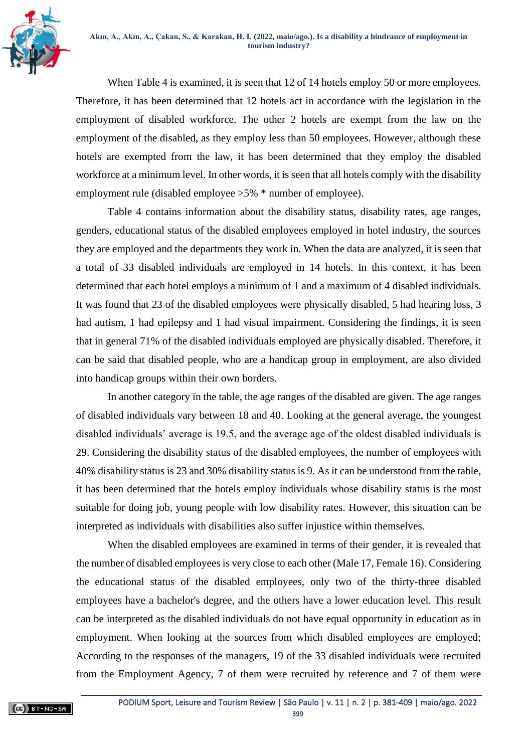

When Table 4 is examined, it is seen that 12 of 14 hotels employ 50 or more employees. Therefore, it has been determined that 12 hotels act in accordance with the legislation in the employment of disabled workforce. The other 2 hotels are exempt from the law on the employment of the disabled, as they employ less than 50 employees. However, although these hotels are exempted from the law, it has been determined that they employ the disabled workforce at a minimum level. In other words, it is seen that all hotels comply with the disability employment rule (disabled employee >5% \* number of employee).

Table 4 contains information about the disability status, disability rates, age ranges, genders, educational status of the disabled employees employed in hotel industry, the sources they are employed and the departments they work in. When the data are analyzed, it is seen that a total of 33 disabled individuals are employed in 14 hotels. In this context, it has been determined that each hotel employs a minimum of 1 and a maximum of 4 disabled individuals. It was found that 23 of the disabled employees were physically disabled, 5 had hearing loss, 3 had autism, 1 had epilepsy and 1 had visual impairment. Considering the findings, it is seen that in general 71% of the disabled individuals employed are physically disabled. Therefore, it can be said that disabled people, who are a handicap group in employment, are also divided into handicap groups within their own borders.

In another category in the table, the age ranges of the disabled are given. The age ranges of disabled individuals vary between 18 and 40. Looking at the general average, the youngest disabled individuals' average is 19.5, and the average age of the oldest disabled individuals is 29. Considering the disability status of the disabled employees, the number of employees with 40% disability status is 23 and 30% disability status is 9. As it can be understood from the table, it has been determined that the hotels employ individuals whose disability status is the most suitable for doing job, young people with low disability rates. However, this situation can be interpreted as individuals with disabilities also suffer injustice within themselves.

When the disabled employees are examined in terms of their gender, it is revealed that the number of disabled employees is very close to each other (Male 17, Female 16). Considering the educational status of the disabled employees, only two of the thirty-three disabled employees have a bachelor's degree, and the others have a lower education level. This result can be interpreted as the disabled individuals do not have equal opportunity in education as in employment. When looking at the sources from which disabled employees are employed; According to the responses of the managers, 19 of the 33 disabled individuals were recruited from the Employment Agency, 7 of them were recruited by reference and 7 of them were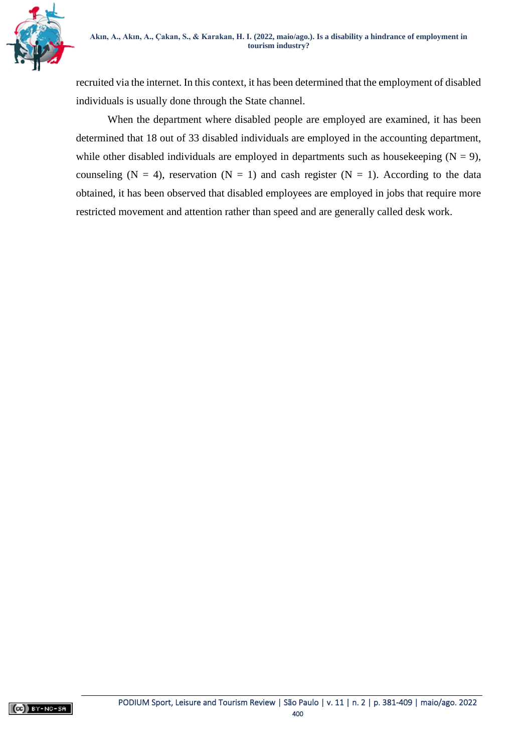

recruited via the internet. In this context, it has been determined that the employment of disabled individuals is usually done through the State channel.

When the department where disabled people are employed are examined, it has been determined that 18 out of 33 disabled individuals are employed in the accounting department, while other disabled individuals are employed in departments such as housekeeping  $(N = 9)$ , counseling (N = 4), reservation (N = 1) and cash register (N = 1). According to the data obtained, it has been observed that disabled employees are employed in jobs that require more restricted movement and attention rather than speed and are generally called desk work.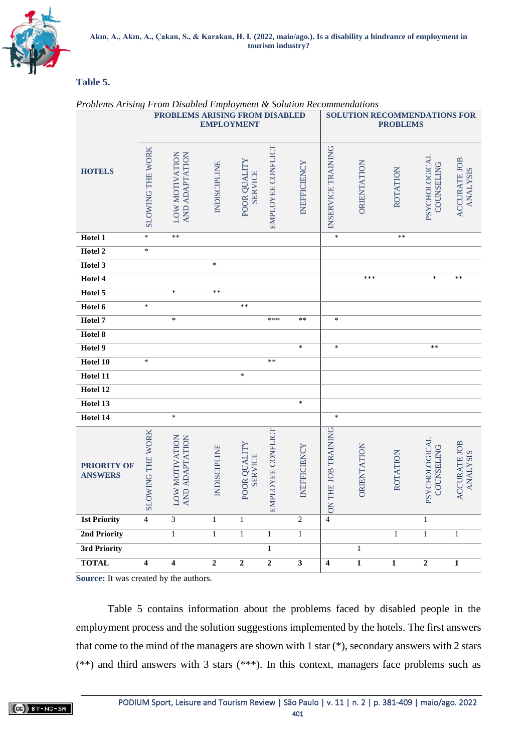

## **Table 5.**

| Problems Arising From Disabled Employment & Solution Recommendations<br>PROBLEMS ARISING FROM DISABLED<br><b>SOLUTION RECOMMENDATIONS FOR</b> |                                           |                                     |                     |                                |                   |                         |                                          |                         |                 |                                    |                                 |  |  |
|-----------------------------------------------------------------------------------------------------------------------------------------------|-------------------------------------------|-------------------------------------|---------------------|--------------------------------|-------------------|-------------------------|------------------------------------------|-------------------------|-----------------|------------------------------------|---------------------------------|--|--|
|                                                                                                                                               |                                           |                                     |                     | <b>EMPLOYMENT</b>              |                   |                         |                                          |                         | <b>PROBLEMS</b> |                                    |                                 |  |  |
| <b>HOTELS</b>                                                                                                                                 |                                           |                                     |                     |                                |                   |                         |                                          |                         |                 |                                    |                                 |  |  |
|                                                                                                                                               | <b>SLOWING THE WORK</b>                   | LOW MOTIVATION<br>AND ADAPTATION    | <b>INDISCIPLINE</b> | POOR QUALITY<br><b>SERVICE</b> | EMPLOYEE CONFLICT | INEFFICIENCY            | INSERVICE TRAINING                       | ORIENTATION             | ROTATION        | <b>PSYCHOLOGICAL</b><br>COUNSELING | ACCURATE JOB<br><b>ANALYSIS</b> |  |  |
| Hotel 1                                                                                                                                       | $\ast$                                    | $**$                                |                     |                                |                   |                         | $\ast$                                   |                         | $**$            |                                    |                                 |  |  |
| Hotel 2                                                                                                                                       | $\ast$                                    |                                     |                     |                                |                   |                         |                                          |                         |                 |                                    |                                 |  |  |
| Hotel 3                                                                                                                                       |                                           |                                     | $\ast$              |                                |                   |                         |                                          |                         |                 |                                    |                                 |  |  |
| Hotel 4                                                                                                                                       |                                           |                                     |                     |                                |                   |                         |                                          | ***                     |                 | $\ast$                             | **                              |  |  |
| Hotel 5                                                                                                                                       |                                           | $\ast$                              | $\ast\ast$          |                                |                   |                         |                                          |                         |                 |                                    |                                 |  |  |
| Hotel 6                                                                                                                                       | $\ast$                                    |                                     |                     | $\ast\ast$                     |                   |                         |                                          |                         |                 |                                    |                                 |  |  |
| Hotel 7                                                                                                                                       |                                           | $\ast$                              |                     |                                | ***               | $**$                    | $\ast$                                   |                         |                 |                                    |                                 |  |  |
| Hotel 8                                                                                                                                       |                                           |                                     |                     |                                |                   |                         |                                          |                         |                 |                                    |                                 |  |  |
| Hotel 9                                                                                                                                       |                                           |                                     |                     |                                |                   | $\ast$                  | $\ast$                                   |                         |                 | $**$                               |                                 |  |  |
| Hotel 10                                                                                                                                      | $\ast$                                    |                                     |                     |                                | $**$              |                         |                                          |                         |                 |                                    |                                 |  |  |
| Hotel 11                                                                                                                                      |                                           |                                     |                     | $\ast$                         |                   |                         |                                          |                         |                 |                                    |                                 |  |  |
| Hotel 12                                                                                                                                      |                                           |                                     |                     |                                |                   |                         |                                          |                         |                 |                                    |                                 |  |  |
| Hotel 13                                                                                                                                      |                                           |                                     |                     |                                |                   | $\ast$                  |                                          |                         |                 |                                    |                                 |  |  |
| Hotel 14                                                                                                                                      |                                           | $\ast$                              |                     |                                |                   |                         | $\ast$                                   |                         |                 |                                    |                                 |  |  |
| <b>PRIORITY OF</b><br><b>ANSWERS</b>                                                                                                          | OWING THE WORK                            | <b>NOLINATION</b><br>AND ADAPTATION | <b>INDISCIPLINE</b> | POOR QUALITY<br><b>SERVICE</b> | EMPLOYEE CONFLICT | INEFFICIENCY            | THE JOB TRAINING                         | ORIENTATION             | ROTATION        | <b>PSYCHOLOGICAL</b><br>COUNSELING | ACCURATE JOB<br><b>ANALYSIS</b> |  |  |
| <b>1st Priority</b>                                                                                                                           | $\overline{\mathbf{S}}$<br>$\overline{4}$ | 3                                   | $\mathbf{1}$        | $\mathbf{1}$                   |                   | $\overline{c}$          | $\overline{\text{SO}}$<br>$\overline{4}$ |                         |                 | $\mathbf{1}$                       |                                 |  |  |
| 2nd Priority                                                                                                                                  |                                           | $\,1$                               | $\mathbf{1}$        | $\mathbf{1}$                   | $\mathbf{1}$      | $\,1$                   |                                          |                         | $\mathbf{1}$    | $\mathbf{1}$                       | $\mathbf{1}$                    |  |  |
| 3rd Priority                                                                                                                                  |                                           |                                     |                     |                                | $\mathbf{1}$      |                         |                                          | $\mathbf{1}$            |                 |                                    |                                 |  |  |
| <b>TOTAL</b>                                                                                                                                  | $\overline{\mathbf{4}}$                   | $\overline{\mathbf{4}}$             | $\overline{2}$      | $\overline{2}$                 | $\boldsymbol{2}$  | $\overline{\mathbf{3}}$ | $\overline{\mathbf{4}}$                  | $\overline{\mathbf{1}}$ | $\mathbf{1}$    | $\overline{2}$                     | $\mathbf{1}$                    |  |  |
|                                                                                                                                               |                                           |                                     |                     |                                |                   |                         |                                          |                         |                 |                                    |                                 |  |  |

### *Problems Arising From Disabled Employment & Solution Recommendations*

**Source:** It was created by the authors.

Table 5 contains information about the problems faced by disabled people in the employment process and the solution suggestions implemented by the hotels. The first answers that come to the mind of the managers are shown with 1 star (\*), secondary answers with 2 stars (\*\*) and third answers with 3 stars (\*\*\*). In this context, managers face problems such as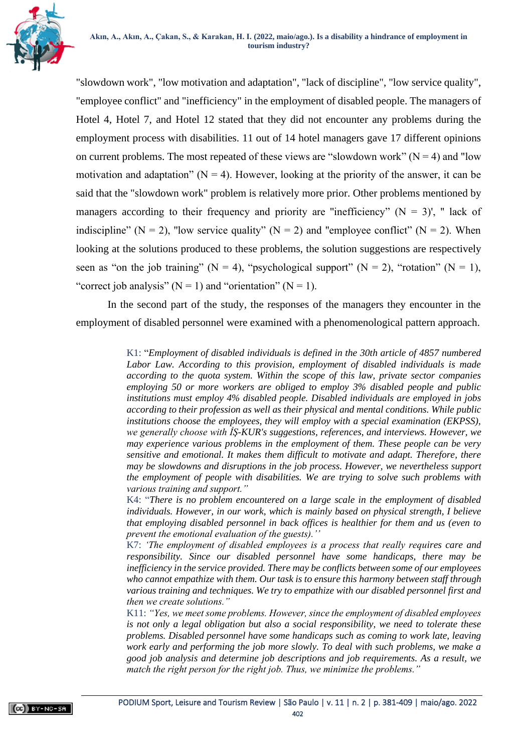

"slowdown work", "low motivation and adaptation", "lack of discipline", "low service quality", "employee conflict" and "inefficiency" in the employment of disabled people. The managers of Hotel 4, Hotel 7, and Hotel 12 stated that they did not encounter any problems during the employment process with disabilities. 11 out of 14 hotel managers gave 17 different opinions on current problems. The most repeated of these views are "slowdown work" ( $N = 4$ ) and "low motivation and adaptation" ( $N = 4$ ). However, looking at the priority of the answer, it can be said that the "slowdown work" problem is relatively more prior. Other problems mentioned by managers according to their frequency and priority are "inefficiency" ( $N = 3$ )', " lack of indiscipline" ( $N = 2$ ), "low service quality" ( $N = 2$ ) and "employee conflict" ( $N = 2$ ). When looking at the solutions produced to these problems, the solution suggestions are respectively seen as "on the job training" ( $N = 4$ ), "psychological support" ( $N = 2$ ), "rotation" ( $N = 1$ ), "correct job analysis"  $(N = 1)$  and "orientation"  $(N = 1)$ .

In the second part of the study, the responses of the managers they encounter in the employment of disabled personnel were examined with a phenomenological pattern approach.

> K1: "*Employment of disabled individuals is defined in the 30th article of 4857 numbered*  Labor Law. According to this provision, employment of disabled individuals is made *according to the quota system. Within the scope of this law, private sector companies employing 50 or more workers are obliged to employ 3% disabled people and public institutions must employ 4% disabled people. Disabled individuals are employed in jobs according to their profession as well as their physical and mental conditions. While public institutions choose the employees, they will employ with a special examination (EKPSS), we generally choose with İŞ-KUR's suggestions, references, and interviews. However, we may experience various problems in the employment of them. These people can be very sensitive and emotional. It makes them difficult to motivate and adapt. Therefore, there may be slowdowns and disruptions in the job process. However, we nevertheless support the employment of people with disabilities. We are trying to solve such problems with various training and support."*

> K4: "*There is no problem encountered on a large scale in the employment of disabled individuals. However, in our work, which is mainly based on physical strength, I believe that employing disabled personnel in back offices is healthier for them and us (even to prevent the emotional evaluation of the guests).''*

> K7: *'The employment of disabled employees is a process that really requires care and responsibility. Since our disabled personnel have some handicaps, there may be inefficiency in the service provided. There may be conflicts between some of our employees who cannot empathize with them. Our task is to ensure this harmony between staff through various training and techniques. We try to empathize with our disabled personnel first and then we create solutions."*

> K11: *"Yes, we meet some problems. However, since the employment of disabled employees is not only a legal obligation but also a social responsibility, we need to tolerate these problems. Disabled personnel have some handicaps such as coming to work late, leaving work early and performing the job more slowly. To deal with such problems, we make a good job analysis and determine job descriptions and job requirements. As a result, we match the right person for the right job. Thus, we minimize the problems."*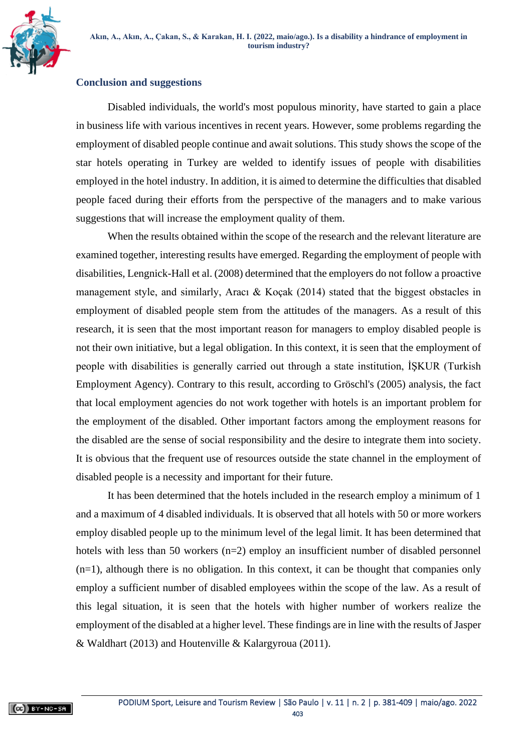

### **Conclusion and suggestions**

Disabled individuals, the world's most populous minority, have started to gain a place in business life with various incentives in recent years. However, some problems regarding the employment of disabled people continue and await solutions. This study shows the scope of the star hotels operating in Turkey are welded to identify issues of people with disabilities employed in the hotel industry. In addition, it is aimed to determine the difficulties that disabled people faced during their efforts from the perspective of the managers and to make various suggestions that will increase the employment quality of them.

When the results obtained within the scope of the research and the relevant literature are examined together, interesting results have emerged. Regarding the employment of people with disabilities, Lengnick-Hall et al. (2008) determined that the employers do not follow a proactive management style, and similarly, Aracı & Koçak (2014) stated that the biggest obstacles in employment of disabled people stem from the attitudes of the managers. As a result of this research, it is seen that the most important reason for managers to employ disabled people is not their own initiative, but a legal obligation. In this context, it is seen that the employment of people with disabilities is generally carried out through a state institution, İŞKUR (Turkish Employment Agency). Contrary to this result, according to Gröschl's (2005) analysis, the fact that local employment agencies do not work together with hotels is an important problem for the employment of the disabled. Other important factors among the employment reasons for the disabled are the sense of social responsibility and the desire to integrate them into society. It is obvious that the frequent use of resources outside the state channel in the employment of disabled people is a necessity and important for their future.

It has been determined that the hotels included in the research employ a minimum of 1 and a maximum of 4 disabled individuals. It is observed that all hotels with 50 or more workers employ disabled people up to the minimum level of the legal limit. It has been determined that hotels with less than 50 workers (n=2) employ an insufficient number of disabled personnel (n=1), although there is no obligation. In this context, it can be thought that companies only employ a sufficient number of disabled employees within the scope of the law. As a result of this legal situation, it is seen that the hotels with higher number of workers realize the employment of the disabled at a higher level. These findings are in line with the results of Jasper & Waldhart (2013) and Houtenville & Kalargyroua (2011).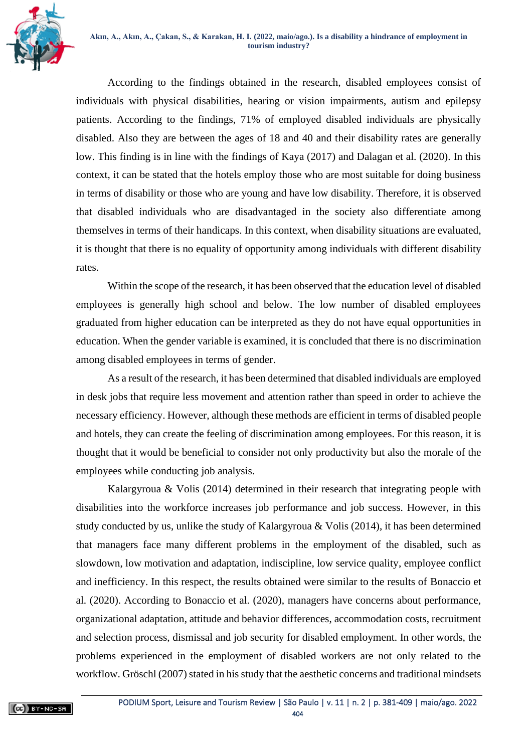

According to the findings obtained in the research, disabled employees consist of individuals with physical disabilities, hearing or vision impairments, autism and epilepsy patients. According to the findings, 71% of employed disabled individuals are physically disabled. Also they are between the ages of 18 and 40 and their disability rates are generally low. This finding is in line with the findings of Kaya (2017) and Dalagan et al. (2020). In this context, it can be stated that the hotels employ those who are most suitable for doing business in terms of disability or those who are young and have low disability. Therefore, it is observed that disabled individuals who are disadvantaged in the society also differentiate among themselves in terms of their handicaps. In this context, when disability situations are evaluated, it is thought that there is no equality of opportunity among individuals with different disability rates.

Within the scope of the research, it has been observed that the education level of disabled employees is generally high school and below. The low number of disabled employees graduated from higher education can be interpreted as they do not have equal opportunities in education. When the gender variable is examined, it is concluded that there is no discrimination among disabled employees in terms of gender.

As a result of the research, it has been determined that disabled individuals are employed in desk jobs that require less movement and attention rather than speed in order to achieve the necessary efficiency. However, although these methods are efficient in terms of disabled people and hotels, they can create the feeling of discrimination among employees. For this reason, it is thought that it would be beneficial to consider not only productivity but also the morale of the employees while conducting job analysis.

Kalargyroua & Volis (2014) determined in their research that integrating people with disabilities into the workforce increases job performance and job success. However, in this study conducted by us, unlike the study of Kalargyroua & Volis (2014), it has been determined that managers face many different problems in the employment of the disabled, such as slowdown, low motivation and adaptation, indiscipline, low service quality, employee conflict and inefficiency. In this respect, the results obtained were similar to the results of Bonaccio et al. (2020). According to Bonaccio et al. (2020), managers have concerns about performance, organizational adaptation, attitude and behavior differences, accommodation costs, recruitment and selection process, dismissal and job security for disabled employment. In other words, the problems experienced in the employment of disabled workers are not only related to the workflow. Gröschl (2007) stated in his study that the aesthetic concerns and traditional mindsets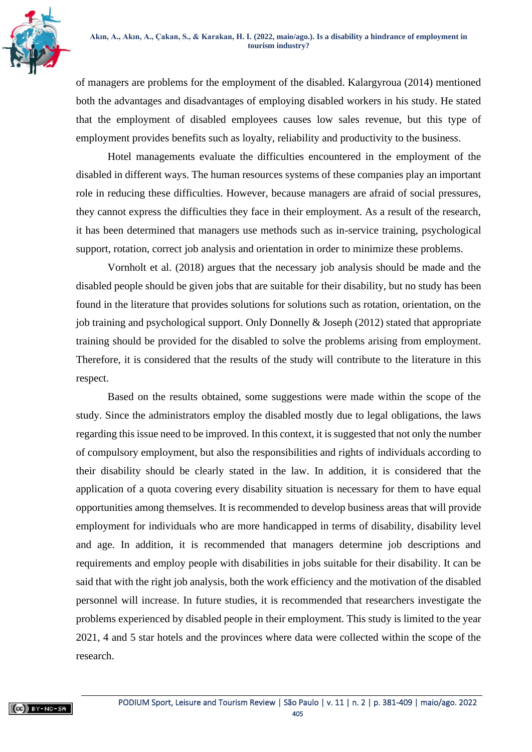

of managers are problems for the employment of the disabled. Kalargyroua (2014) mentioned both the advantages and disadvantages of employing disabled workers in his study. He stated that the employment of disabled employees causes low sales revenue, but this type of employment provides benefits such as loyalty, reliability and productivity to the business.

Hotel managements evaluate the difficulties encountered in the employment of the disabled in different ways. The human resources systems of these companies play an important role in reducing these difficulties. However, because managers are afraid of social pressures, they cannot express the difficulties they face in their employment. As a result of the research, it has been determined that managers use methods such as in-service training, psychological support, rotation, correct job analysis and orientation in order to minimize these problems.

Vornholt et al. (2018) argues that the necessary job analysis should be made and the disabled people should be given jobs that are suitable for their disability, but no study has been found in the literature that provides solutions for solutions such as rotation, orientation, on the job training and psychological support. Only Donnelly & Joseph (2012) stated that appropriate training should be provided for the disabled to solve the problems arising from employment. Therefore, it is considered that the results of the study will contribute to the literature in this respect.

Based on the results obtained, some suggestions were made within the scope of the study. Since the administrators employ the disabled mostly due to legal obligations, the laws regarding this issue need to be improved. In this context, it is suggested that not only the number of compulsory employment, but also the responsibilities and rights of individuals according to their disability should be clearly stated in the law. In addition, it is considered that the application of a quota covering every disability situation is necessary for them to have equal opportunities among themselves. It is recommended to develop business areas that will provide employment for individuals who are more handicapped in terms of disability, disability level and age. In addition, it is recommended that managers determine job descriptions and requirements and employ people with disabilities in jobs suitable for their disability. It can be said that with the right job analysis, both the work efficiency and the motivation of the disabled personnel will increase. In future studies, it is recommended that researchers investigate the problems experienced by disabled people in their employment. This study is limited to the year 2021, 4 and 5 star hotels and the provinces where data were collected within the scope of the research.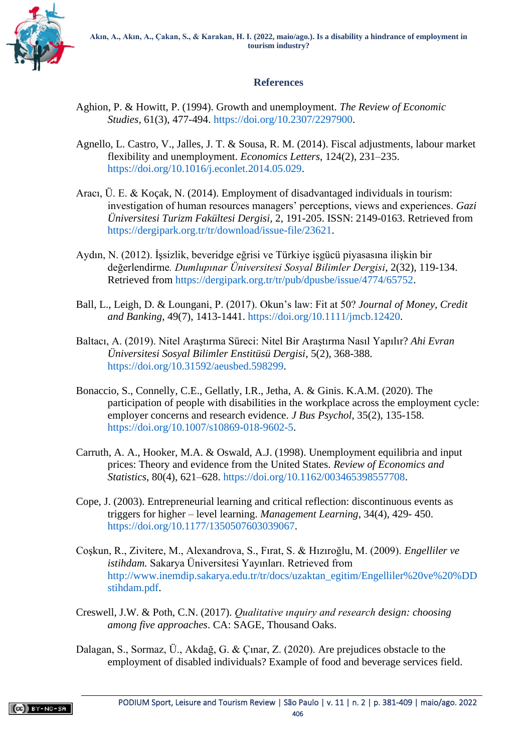

# **References**

- Aghion, P. & Howitt, P. (1994). Growth and unemployment. *The Review of Economic Studies*, 61(3), 477-494. [https://doi.org/10.2307/2297900.](https://doi.org/10.2307/2297900)
- Agnello, L. Castro, V., Jalles, J. T. & Sousa, R. M. (2014). Fiscal adjustments, labour market flexibility and unemployment. *Economics Letters*, 124(2), 231–235. [https://doi.org/10.1016/j.econlet.2014.05.029.](https://doi.org/10.1016/j.econlet.2014.05.029)
- Aracı, Ü. E. & Koçak, N. (2014). Employment of disadvantaged individuals in tourism: investigation of human resources managers' perceptions, views and experiences. *Gazi Üniversitesi Turizm Fakültesi Dergisi,* 2, 191-205. ISSN: 2149-0163. Retrieved from [https://dergipark.org.tr/tr/download/issue-file/23621.](https://dergipark.org.tr/tr/download/issue-file/23621)
- Aydın, N. (2012). İşsizlik, beveridge eğrisi ve Türkiye işgücü piyasasına ilişkin bir değerlendirme*. Dumlupınar Üniversitesi Sosyal Bilimler Dergisi*, 2(32), 119-134. Retrieved from [https://dergipark.org.tr/tr/pub/dpusbe/issue/4774/65752.](https://dergipark.org.tr/tr/pub/dpusbe/issue/4774/65752)
- Ball, L., Leigh, D. & Loungani, P. (2017). Okun's law: Fit at 50? *Journal of Money, Credit and Banking*, 49(7), 1413-1441. [https://doi.org/10.1111/jmcb.12420.](https://doi.org/10.1111/jmcb.12420)
- Baltacı, A. (2019). Nitel Araştırma Süreci: Nitel Bir Araştırma Nasıl Yapılır? *Ahi Evran Üniversitesi Sosyal Bilimler Enstitüsü Dergisi*, 5(2), 368-388. [https://doi.org/10.31592/aeusbed.598299.](https://doi.org/10.31592/aeusbed.598299)
- Bonaccio, S., Connelly, C.E., Gellatly, I.R., Jetha, A. & Ginis. K.A.M. (2020). The participation of people with disabilities in the workplace across the employment cycle: employer concerns and research evidence. *J Bus Psychol*, 35(2), 135-158. [https://doi.org/10.1007/s10869-018-9602-5.](https://doi.org/10.1007/s10869-018-9602-5)
- Carruth, A. A., Hooker, M.A. & Oswald, A.J. (1998). Unemployment equilibria and input prices: Theory and evidence from the United States. *Review of Economics and Statistics*, 80(4), 621–628. [https://doi.org/10.1162/003465398557708.](https://doi.org/10.1162/003465398557708)
- Cope, J. (2003). Entrepreneurial learning and critical reflection: discontinuous events as triggers for higher – level learning. *Management Learning*, 34(4), 429- 450. [https://doi.org/10.1177/1350507603039067.](https://doi.org/10.1177/1350507603039067)
- Coşkun, R., Zivitere, M., Alexandrova, S., Fırat, S. & Hızıroğlu, M. (2009). *Engelliler ve istihdam.* Sakarya Üniversitesi Yayınları. Retrieved from [http://www.inemdip.sakarya.edu.tr/tr/docs/uzaktan\\_egitim/Engelliler%20ve%20%DD](http://www.inemdip.sakarya.edu.tr/tr/docs/uzaktan_egitim/Engelliler%20ve%20%DDstihdam.pdf) [stihdam.pdf.](http://www.inemdip.sakarya.edu.tr/tr/docs/uzaktan_egitim/Engelliler%20ve%20%DDstihdam.pdf)
- Creswell, J.W. & Poth, C.N. (2017). *Qualitative ınquiry and research design: choosing among five approaches*. CA: SAGE, Thousand Oaks.
- Dalagan, S., Sormaz, Ü., Akdağ, G. & Çınar, Z. (2020). Are prejudices obstacle to the employment of disabled individuals? Example of food and beverage services field.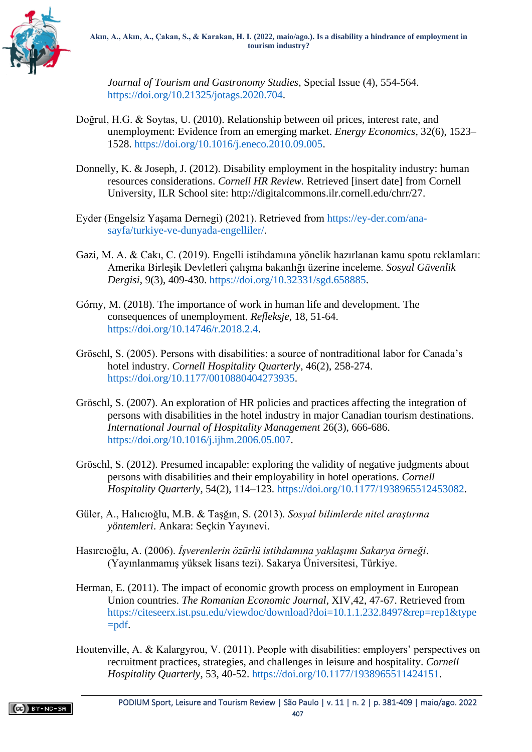

*Journal of Tourism and Gastronomy Studies*, Special Issue (4), 554-564. [https://doi.org/10.21325/jotags.2020.704.](https://doi.org/10.21325/jotags.2020.704)

- Doğrul, H.G. & Soytas, U. (2010). Relationship between oil prices, interest rate, and unemployment: Evidence from an emerging market. *Energy Economics*, 32(6), 1523– 1528. [https://doi.org/10.1016/j.eneco.2010.09.005.](https://doi.org/10.1016/j.eneco.2010.09.005)
- Donnelly, K. & Joseph, J. (2012). Disability employment in the hospitality industry: human resources considerations. *Cornell HR Review.* Retrieved [insert date] from Cornell University, ILR School site: [http://digitalcommons.ilr.cornell.edu/chrr/27.](http://digitalcommons.ilr.cornell.edu/chrr/27)
- Eyder (Engelsiz Yaşama Dernegi) (2021). Retrieved from [https://ey-der.com/ana](https://ey-der.com/ana-sayfa/turkiye-ve-dunyada-engelliler/)[sayfa/turkiye-ve-dunyada-engelliler/.](https://ey-der.com/ana-sayfa/turkiye-ve-dunyada-engelliler/)
- Gazi, M. A. & Cakı, C. (2019). Engelli istihdamına yönelik hazırlanan kamu spotu reklamları: Amerika Birleşik Devletleri çalışma bakanlığı üzerine inceleme. *Sosyal Güvenlik Dergisi*, 9(3), 409-430. [https://doi.org/10.32331/sgd.658885.](https://doi.org/10.32331/sgd.658885)
- Górny, M. (2018). The importance of work in human life and development. The consequences of unemployment*. Refleksje*, 18, 51-64. [https://doi.org/10.14746/r.2018.2.4.](https://doi.org/10.14746/r.2018.2.4)
- Gröschl, S. (2005). Persons with disabilities: a source of nontraditional labor for Canada's hotel industry. *Cornell Hospitality Quarterly*, 46(2), 258-274. [https://doi.org/10.1177/0010880404273935.](https://doi.org/10.1177/0010880404273935)
- Gröschl, S. (2007). An exploration of HR policies and practices affecting the integration of persons with disabilities in the hotel industry in major Canadian tourism destinations. *International Journal of Hospitality Management* 26(3), 666-686. [https://doi.org/10.1016/j.ijhm.2006.05.007.](https://doi.org/10.1016/j.ijhm.2006.05.007)
- Gröschl, S. (2012). Presumed incapable: exploring the validity of negative judgments about persons with disabilities and their employability in hotel operations. *Cornell Hospitality Quarterly*, 54(2), 114–123. [https://doi.org/10.1177/1938965512453082.](https://doi.org/10.1177/1938965512453082)
- Güler, A., Halıcıoğlu, M.B. & Taşğın, S. (2013). *Sosyal bilimlerde nitel araştırma yöntemleri*. Ankara: Seçkin Yayınevi.
- Hasırcıoğlu, A. (2006). *İşverenlerin özürlü istihdamına yaklaşımı Sakarya örneği*. (Yayınlanmamış yüksek lisans tezi). Sakarya Üniversitesi, Türkiye.
- Herman, E. (2011). The impact of economic growth process on employment in European Union countries. *The Romanian Economic Journal*, XIV,42, 47-67. Retrieved from [https://citeseerx.ist.psu.edu/viewdoc/download?doi=10.1.1.232.8497&rep=rep1&type](https://citeseerx.ist.psu.edu/viewdoc/download?doi=10.1.1.232.8497&rep=rep1&type=pdf) [=pdf.](https://citeseerx.ist.psu.edu/viewdoc/download?doi=10.1.1.232.8497&rep=rep1&type=pdf)
- Houtenville, A. & Kalargyrou, V. (2011). People with disabilities: employers' perspectives on recruitment practices, strategies, and challenges in leisure and hospitality. *Cornell Hospitality Quarterly*, 53, 40-52. [https://doi.org/10.1177/1938965511424151.](https://doi.org/10.1177/1938965511424151)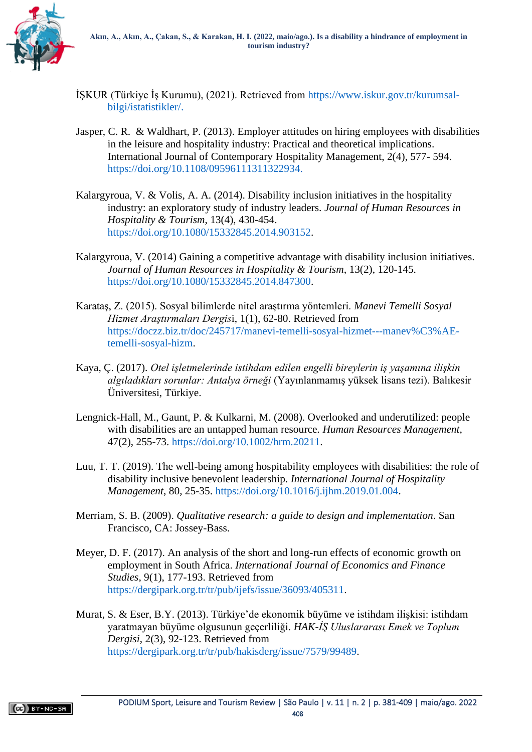

- İŞKUR (Türkiye İş Kurumu), (2021). Retrieved from [https://www.iskur.gov.tr/kurumsal](https://www.iskur.gov.tr/kurumsal-bilgi/istatistikler/)[bilgi/istatistikler/.](https://www.iskur.gov.tr/kurumsal-bilgi/istatistikler/)
- Jasper, C. R. & Waldhart, P. (2013). Employer attitudes on hiring employees with disabilities in the leisure and hospitality industry: Practical and theoretical implications. International Journal of Contemporary Hospitality Management, 2(4), 577- 594. [https://doi.org/10.1108/09596111311322934.](https://doi.org/10.1108/09596111311322934)
- Kalargyroua, V. & Volis, A. A. (2014). Disability inclusion initiatives in the hospitality industry: an exploratory study of industry leaders. *Journal of Human Resources in Hospitality & Tourism*, 13(4), 430-454. [https://doi.org/10.1080/15332845.2014.903152.](https://doi.org/10.1080/15332845.2014.903152)
- Kalargyroua, V. (2014) Gaining a competitive advantage with disability inclusion initiatives. *Journal of Human Resources in Hospitality & Tourism*, 13(2), 120-145. [https://doi.org/10.1080/15332845.2014.847300.](https://doi.org/10.1080/15332845.2014.847300)
- Karataş, Z. (2015). Sosyal bilimlerde nitel araştırma yöntemleri. *Manevi Temelli Sosyal Hizmet Araştırmaları Dergis*i, 1(1), 62-80. Retrieved from [https://doczz.biz.tr/doc/245717/manevi-temelli-sosyal-hizmet---manev%C3%AE](https://doczz.biz.tr/doc/245717/manevi-temelli-sosyal-hizmet---manev%C3%AE-temelli-sosyal-hizm)[temelli-sosyal-hizm.](https://doczz.biz.tr/doc/245717/manevi-temelli-sosyal-hizmet---manev%C3%AE-temelli-sosyal-hizm)
- Kaya, Ç. (2017). *Otel işletmelerinde istihdam edilen engelli bireylerin iş yaşamına ilişkin algıladıkları sorunlar: Antalya örneği* (Yayınlanmamış yüksek lisans tezi). Balıkesir Üniversitesi, Türkiye.
- Lengnick-Hall, M., Gaunt, P. & Kulkarni, M. (2008). Overlooked and underutilized: people with disabilities are an untapped human resource. *Human Resources Management*, 47(2), 255-73. [https://doi.org/10.1002/hrm.20211.](https://doi.org/10.1002/hrm.20211)
- Luu, T. T. (2019). The well-being among hospitability employees with disabilities: the role of disability inclusive benevolent leadership. *International Journal of Hospitality Management*, 80, 25-35. [https://doi.org/10.1016/j.ijhm.2019.01.004.](https://doi.org/10.1016/j.ijhm.2019.01.004)
- Merriam, S. B. (2009). *Qualitative research: a guide to design and implementation*. San Francisco, CA: Jossey-Bass.
- Meyer, D. F. (2017). An analysis of the short and long-run effects of economic growth on employment in South Africa. *International Journal of Economics and Finance Studies*, 9(1), 177-193. Retrieved from [https://dergipark.org.tr/tr/pub/ijefs/issue/36093/405311.](https://dergipark.org.tr/tr/pub/ijefs/issue/36093/405311)
- Murat, S. & Eser, B.Y. (2013). Türkiye'de ekonomik büyüme ve istihdam ilişkisi: istihdam yaratmayan büyüme olgusunun geçerliliği. *HAK-İŞ Uluslararası Emek ve Toplum Dergisi*, 2(3), 92-123. Retrieved from [https://dergipark.org.tr/tr/pub/hakisderg/issue/7579/99489.](https://dergipark.org.tr/tr/pub/hakisderg/issue/7579/99489)